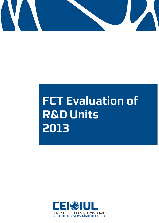

# **FCT Evaluation of R&D Units 2013**

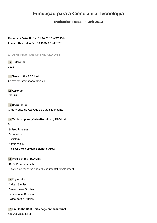## **Fundação para a Ciência e a Tecnologia**

## **Evaluation Reseach Unit 2013**

**Document Date:** Fri Jan 31 16:01:26 WET 2014 **Locked Date:** Mon Dec 30 13:37:00 WET 2013

**1. IDENTIFICATION OF THE R&D UNIT**

**1.0 Reference** 3122

**1.1 Name of the R&D Unit** Centre for International Studies

**1.2 Acronym** CEI-IUL

**1.3 Coordinator** Clara Afonso de Azevedo de Carvalho Piçarra

**1.4 Multidisciplinary/interdisciplinary R&D Unit** No **Scientific areas** Economics Sociology Anthropology Political Science**(Main Scientific Area)**

#### **1.5Profile of the R&D Unit**

100% Basic research 0% Applied research and/or Experimental development

#### **1.6 Keywords**

African Studies Development Studies International Relations Globalization Studies

#### **1.7 Link to the R&D Unit's page on the Internet**

http://cei.iscte-iul.pt/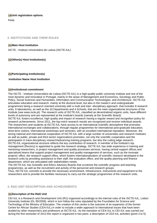## **1.8 Unit registration options** Keep

#### **2. INSTITUTIONS AND THEIR ROLES**

#### **2.1 Main Host Institution**

ISCTE - Instituto Universitário de Lisboa (ISCTE-IUL)

**2.2Other(s) Host Institution(s)**

#### **2.3Participating Institution(s)**

#### **Institution Name Host Institution**

#### **2.4 Institutional commitment**

The ISCTE - Instituto Universitário de Lisboa (ISCTE-IUL) is a high-quality public university institute and one of the most dynamic and innovative in Portugal, mainly in the areas of Management and Economics, Sociology and Public Policy, Social Sciences and Humanities, Information and Communication Technologies, and Architecture. ISCTE-IUL articulates education and research, mainly at the doctoral level, but also in the master's and undergraduate programmes being a research oriented university with a multi and inter -disciplinary approach, that includes 9 research units, 6 laboratories, as well as the 16 Departments and 4 Schools, that are the main organizational structures of the Institute (see www.iscte.pt). The research units of ISCTE-IUL, classified as decentralized organic units, have different levels of autonomy and are represented at the Institute's boards (namely at the Scientific Board). ISCTE-IUL fosters excellence, high quality and impact of research having a regular reward and recognition policy for research achievements. Since 2011, the top-notch research results are recognized and receive individual awards. The researchers and students at ISCTE-IUL have access to an international scientific atmosphere that promotes international exchanges and collaborations, through regular programmes for international post-graduate education, short-term visitors, international workshops and seminars, with an excellent international reputation. Moreover, the strong national and international cooperation of ISCTE-IUL with a large number of universities and research institutes as well as public, private and third sector organizations promotes, not only the scientific cooperation and the participation in trans-disciplinary research/advancing training programs, but also the cutting edge research. ISCTE-IUL organizational structure reflects the key contribution of research. A member of the Institute's top management (Rectory) is appointed to guide the research strategy. ISCTE-IUL has wide experience in training and mentoring researchers, in project management and quality processes services, having central support offices and specialized teams that support project management and quality management of services, such as the innovate projects' office, the research support office, which fosters internationalization of scientific research developed in the research units by providing assistance to their staff, the evaluation office, and the quality planning and finance department, which are articulated with stakeholders needs.

The ISCTE-IUL has Scientific and Ethics Advisory Boards that scrutinize the scientific progress and teaching programmes, as well as the recruitment and activity of the personnel and research groups.

Thus, ISCTE-IUL commits to provide the necessary environment, infrastructure, instruments and equipment to the researchers and to provide the facilities necessary to carry out the strategic programmes of the research units.

#### **3. R&D UNIT DESCRIPTION AND ACHIEVEMENTS**

#### **3.1 Description of the R&D Unit**

CEI-IUL is a Research and Development Unit (RU) organized accordingly to the internal rules of the ISCTE-IUL, Lisbon University Institute (DL 95/2009), which in turn follow the rules stipulated by the Foundation for Science and Technology of the Ministry of Education. The creation of this centre is the outcome of an expansion of the former Centre for African Studies (CEA-IUL) in order to include a wider approach to international issues that have been studied by other researchers and professors at ISCTE-IUL. As the transition of CEA-IUL to CEI-IUL was carried out during the first semester of 2013 this report is organized in two parts: a description of CEA-IUL activities (point 3 to 5)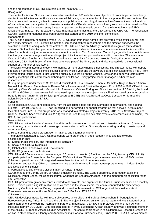and the presentation of CEI-IUL strategic project (point 6 to 12). **Background** 

The Centre for African Studies is an association created in 1981 with the main objective of promoting interdisciplinary studies in social sciences on Africa as a whole, whilst paying special attention to the Lusophone African countries. The Centre promoted research, scientific meetings and publications, teaching, dissemination of relevant information about African affairs, and participation in international networks. CEA also offered consultancy services on the domains of its specialty. The board is elected every 3 years, supported by the scientific council (i.e. the integrative unit of PhD researchers). In 2010, ISCTE-based RU was integrated at the Institute, and CEA turned into CEA-IUL. The association CEA still exists and manages research projects that started before 2010 until their completion. Management

The RU has a director, nominated by the ISCTE-IUL dean from three names that are voted by scientific council, and two deputy directors. The Scientific Committee, composed of three researchers and the director, supervises the scientific orientation and quality of the activities. CEI-IUL also has an Advisory Board that integrates four external advisors. Staff includes two permanent members, one responsible for financial and administrative activities, and the other for publications, journal secretariat and event promotion. Two Science and Technology grant holders contribute to the library, conference organisation, and to project initiation and support to the scientific committee. The association Centre of African Studies also benefits from a financial consultant for pending projects. During the period under evaluation, CEA hired three staff members who were part of the library staff, and also counted with the occasional support of a number of volunteers.

The scientific committee meets every two months, or more often when it is necessary. The director meets with deputy directors on demand. The scientific council gathers twice a year and the advisory board is consulted once a year. From every meeting results a record that is turned public by publishing on the website. Director and deputy directors have monthly meetings with contract researchers/post-doc fellows. Every project leader managed his/her team of researchers.

During the period under review, CEA's board consisted of Clara Carvalho, Emanuel Gamelas, Rogério Roque Amaro, Manuel João Ramos, Maria Antónia Barreto, Vítor Alexandre and Cristina Rodrigues. From 2010 to 2012 CEA-IUL was chaired by Clara Carvalho, with Manuel João Ramos and Cristina Rodrigues. Since the creation of CEA-IUL, the board of CEA and CEA-IUL have always held joint meetings as most of the projects were still administered by the association. Rogério Roque Amaro, Ulrich Schiefer (professors at ISCTE) and Ana Bénard da Costa (researcher) formed the Scientific Commission of CEA-IUL.

#### Funding

As an association, CEA benefited mainly from the associate's fees and the overheads of international and national projects. From 1994 to 2011, FCT had launched and performed a bi-annual programme that allowed RU to support their staff costs. In 2011, this programme was changed to a strategic project (currently, 2011/2012 Strategic Project - UI 3122- that has been extended until 2014), which is used to support scientific events (conferences and seminars), the BCEA, and publications.

Main activities

CEA-IUL's activities include: a) research and its public presentation in national and international forums; b) lecturing and tutoring; c) publications and knowledge dissemination of African Studies; d) Networking; and e) consultancy and expert services;

a) Research and its public presentation in national and international forums

The projects conducted by CEA-IUL researchers were organised in three research lines and a knowledge dissemination line:

(1) States, Public Policies, and International Regulation

(2) Social and Cultural Dynamics

(3) Globalisation, Economics, and Development

(4) DIKAS (library and publications).

CEA-IUL and CEA association have managed 20 research projects: i) 8 of them led by CEA; ii) one by CEA-IUL; iii) and participated in 8 projects led by European R&D institutions. These projects involved more than 40 PhD holders (full-time or part-time), and 37 integrated researchers for the period under evaluation.

b) Lecturing and tutoring: CEA-IUL researchers are actively involved in postgraduate programmes in African Studies and Development Studies.

c) Publications and knowledge dissemination of African Studies

CEA managed the Central Library of African Studies in Portugal. The Centre published, on a regular basis, the Occasional Paper Series, the scientific journal Cadernos de Estudos Africanos, and the monographic collection Africa em Perspectiva.

CEA-IUL promoted regular conferences related to its projects, and organised the African Studies Seminar on a monthly basis. Besides publicising information on its website and the social media, the centre conducted the observatory Monitoring Conflicts in Africa. During the period covered in this evaluation, CEA organized the most important European conferences in African Studies, such as CIEA 7 and ECAS 2013. d) Networking

CEA-IUL developed networks with research centres, universities, and individual researchers in Portugal, other European countries, Africa, Brazil, and the US. Every project included an international team and was supported by a formal agreement between the international partners. In particular, CEA-IUL had protocols with the main African Institutes, namely CODESRIA, with research centres in every Lusophone African country, and was a founding member of the AEGIS - European African Studies Association. The centre participated in its Collaborative Research Groups as well as in other activities (Plenary and Annual Meeting; Cortona Summer School). Since 2006, CEA-IUL was a member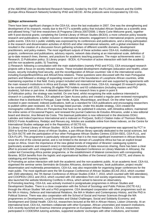of the ABORNE (African Borderland Research Network), funded by the ESF, the FLUXUS network and the EARN (Europe-Africa Research Network) funded by IPAD and AECID. All the protocols were incorporated by CEI-IUL.

#### **3.2 Major achievements**

There have been significant changes in the CEA-IUL since the last evaluation in 2007. One was the strengthening and development of its research, mostly due to the FCT's scientific policy that included African Studies as a scientific area and allowed hiring 7 full time researchers (6 Programa Ciência 2007/2008; 1 Marie Curie-Welcome grant), together with 9 post-doctoral grants; completing the Central Library of African Studies (BCEA); a more cohesive policy towards research and publications; a better inclusion in international networks; engagement in international projects; promoting public events. CEA-IUL's public visibility was expressed by its conferences and publications, and a strong participation in the research and dissemination activities of AEGIS and other international networks, with a global orientation that resulted in the creation of a discussion forum gathering scholars of different scientific domains, development practitioners, and policy-makers. The most significant outputs of these activities were CEA-IUL multidisciplinary projects, conferences and publications, advisory reports, network data sharing at an international scale, definition of up-to-date research lines, themes, and practices for academic teaching purposes. The major achievements were: 1) Research; 2) Publication policy; 3) Library project - BCEA; 4) Promotion of active interaction with both the academic and the non-academic public; 5) Teaching.

1) Research: following a consultation with the main stakeholders (namely IPAD and FCG), CEA encouraged research projects with a focus on society relevant issues. These included development challenges (education and health), urban issues, security including food security, and the reconfiguration of African countries' role in the international scene, including Europe/Brazil/Africa and Africa/China relations. These questions were discussed with the main Portuguese partners and followed a strategy of expanding research out of the boundaries of Lusophone African countries, while maintaining expertise in that field. Every project included and international team and was supported by agreements with the main research institutions in Africa and Europe. Within its research lines, CEA-IUL managed 20 research projects, to be conducted until 2015, involving 35 eligible PhD holders and 63 collaborators (including masters and PhD students), full-time or part-time. A detailed description of the research lines is given in point 9.

2) Publication policy: the strategy was twofold. On one hand, whilst recognising the wide audience interested in research in Lusophone Africa, CEA adopted an Open Access policy and created a regular peer-reviewed monographic collection that is distributed in Portugal, Cape Verde, Angola, Mozambique, and Brazil. On the other hand, CEA invested in peer-reviewed, indexed publications, both as a standard for CEA publications and encouraging researchers to publish within peer-reviewed, ISI, or Scimago listed journals. Under this double strategy, CEA created the monographic collection África em Perspectiva that have so far published 6 volumes, with Almedina editors; maintained the online series of Occasional Papers; and renewed the journal Cadernos de Estudos Africanos, under a new editorial board and director, Ana Bénard da Costa. This biannual publication is now referenced in the directories DOAJ, Latindex and IndexCopernicus International and is indexed on ProQuest, SciELO Citation Index of Thomson Reuters, EBSCO Fonte Acadêmica, Redalyc and Revues.org. Articles are available online from these indexes, on the Centre for International Studies webpage and in the Repository of ISCTE-IUL.

3) Library: Central Library of African Studies - BCEA. A Scientific Re-equipment programme was approved by FCT in 2004 to fund the Central Library of African Studies, a pan-African library specially dedicated to the social sciences, led by CEA-ISCTE with the participation of four other Portuguese African Studies Centres (CESA-ISEG, CEA-FLUL, and CEA-FLUP). This programme is particularly relevant given that it is the most significant investment in African libraries since the end of the colonial period, and is not limited to the domain of Lusophone Africa but has an explicit broad scope on Africa. Given the importance of the new global trends of integration of libraries' cataloguing systems (particularly academic and research ones) in international networks of data resources sharing, there has been a clear effort to proceed with such integration through SCOLMA (Standard Conference on Library Materials in Africana), the Leiden led Connecting-Africa pointer programme, or the establishment of bilateral connections with corresponding libraries. BCEA benefits from the logistic and organisational facilities of the General Library of ISCTE, and shares its cataloguing and browsing system.

4) Promoting an active interaction with both the academic and the non-academic public. At an academic level, CEA-IUL organised the seminar series Seminário de Estudos Africanos, doctoral seminars, book publication, project results' dissemination and multimedia presentations. CEA-IUL was also responsible for organising larger conferences for the main public. The most significant were the 5th European Conference of African Studies (ECAS 2013, which counted with 1500 attendees), the 7th Iberian Conference of African Studies (CIEA 7, 2010, which counted with 500 attendees), and COOPEDU (2011 and 2013, which counted with 150 attendees from civil society organizations). The centre has also launched the website Monitoring Conflicts in Africa, which aimed to become an observatory.

5) Promoting teaching. CEA-IUL was actively involved in postgraduate programmes in African Studies and Development Studies. There is a close cooperation with the School of Sociology and Public Policies (ISCTE-IUL) through the African Studies' MA and a PhD programme. CEA developed cooperation with other programmes such as the MA in History, Defence and International Relations, the MA in Modern and Contemporary History, and the PhD in Political Science. There was also cooperation with the School of Social and Human Sciences through the MA programmes on Development, Local Diversities and Global Challenges; Social and Solidarity Economy; and Development and Global Health. CEA-IUL researchers lectured at the MA in African History, Lisbon University. At an international level, CEA-IUL members collaborate with other European, African universities and research institutions. CEA recently launched an Erasmus intensive programme on European-African Relations. CEA-IUL researchers participated in CODESRIA tutoring activities, supported students' exchanges with other institutions, and hosted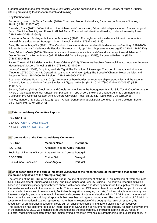graduate and post-doctoral researchers. A key factor was the constitution of the Central Library of African Studies offering outstanding facilities for research and training.

#### **Key Publications**

Bordonaro, Lorenzo & Clara Carvalho (2010), Youth and Modernity in Africa, Cadernos de Estudos Africanos, n 18-19. (ISSN: 2182-7400)

Carvalho, Clara (2012), "West African migrant therapeuts". In Hansjörg Dilger, Abdoulaye Kane and Stacey Langwick (eds.), Medicine, Mobility and Power in Global Africa. Transnational Health and Healing. Indiana University Press. (ISBN: 978-0-253-22368-5)

Costa, Ana Bénard & Margarida Lima de Faria (eds.) (2012), Formação superior e desenvolvimento: estudantes universitários africanos em Portugal. Lisbon: Almedina. (ISBN: 9789724051123)

Dias, Alexandra Magnólia (2011), "The Conduct of an inter-state war and multiple dimensions of territory: 1998-2000 Eritrea-Ethiopia War", Cadernos de Estudos Africanos, nº 22, pp. 21-41. http://cea.revues.org/402 (ISSN: 2182-7400)

Dias, Eduardo Costa (2009), "Hermandades musulmanes y movimientos da' wa: dos concepciones d' Islam en l' Oeste Africano". In Ferran Iniesta (ed), El Islam del Africa Negra (pp. 37-58), Barcelona:Bellaterra. (ISBN: 9788472904583)

Fauré, Yves-André & Udelsmann Rodrigues Cristina (2012), "Descentralização e Desenvolvimento Local em Angola e Moçambique", Lisbon: Almedina. (ISBN: 978-972-40-4782-9)

Lopes, Carlos M. (2009), "Hug Me, Hold Me Tight! The Evolution of Passenger Transport in Luanda and Huambo (Angola), 1975-2000", In J.B. Gewald, S. Luning & K. Walraven (eds.) The Speed of Change: Motor Vehicles and People in Africa 1890-2000, Brill: Leiden. (ISBN: 9789004177352)

Rodrigues, Cristina Udelsmann (2010), "Angola's southern border: entrepreneurship opportunities and the state in Cunene", Journal of Modern African Studies, 48 (3), pp. 461-484. (DOI: 10.1017/S0022278X10000339) (ISSN: 1469-7777)

Seibert, Gerhard (2012) "Creolization and Creole communities in the Portuguese Atlantic. São Tomé, Cape Verde, the Rivers of Guinea and Central Africa in comparison", in Toby Green, Brokers of Change: Atlantic Commerce and Cultures in Pre-Colonial Western Africa, Oxford University Press, pp. 29-51. (ISBN: 978-0-19-726520-8)

Ramos, Manuel J; Engels, Ulf. (2013) (eds.). African Dynamics in a Multipolar World ed. 1, 1 vol., Leiden - Boston: Brill. (ISBN: 978-90-04-25604-0)

#### **3.3External Advisory Committee Reports**

#### **R&D Unit File**

CEA-IUL [CEPAC\\_2012\\_final.pdf](https://pct.fct.pt/GeradorDocumentos/lerDocumento.jsp?guidFile=250A003F-8286-4AE8-9057-1FAAF751FC04&down=0) CEA-IUL [CEPAC\\_2011\\_final.pdf](https://pct.fct.pt/GeradorDocumentos/lerDocumento.jsp?guidFile=FD22B516-0A98-4C04-89CD-330E6565A4A7&down=0)

#### **3.4 Composition of the External Advisory Committee**

| <b>R&amp;D Unit</b>                                            | <b>Member Name</b>              | <b>Institution</b> |
|----------------------------------------------------------------|---------------------------------|--------------------|
| <b>ISCTE-IUL</b>                                               | Armando Trigo de Abreu Portugal |                    |
| Technical University of Lisbon Augusto Manuel Correia Portugal |                                 |                    |
| <b>CODESRIA</b>                                                | Ebrima Sall                     | Senegal            |
| DuniaMundo Globalcom                                           | Victor Ângelo                   | Portugal           |

#### **3.5 Brief description of the output indicators 2008/2012 of the research team of the new unit that support the vision and objectives of the strategic program**

The creation of the CEI-IUL represents the natural course of development of the CEA, an institution of reference in its field, in Development Studies and in Policy, and Governance and Security Studies. The centre's research activities, based in a multidisciplinary approach were shared with cooperation and development institutions, policy makers and the media, as well as with the academic public. This approach led CEA researchers to expand the scope of their work and consider the issues of development, South-North migration, emerging markets, food security, human security, and international policy and management in international contexts. Projects undertaken within CEA-IUL are characterised by a theoretical and methodological approach that goes beyond regional boundaries. The transformation of CEA-IUL in a centre for international studies represents, more than an extension of the geographical area of research, the recognition of an approach focused on global current challenges combining different disciplinary perspectives. This expansion has also emerged as an interpretation of CEA's main achievements and threats. As main achievements in the period 2008-2012 we emphasise: a) Strengthening the research focus, including carrying out 20 research projects, redesigning research paths and implementing a research dynamic; b) Strengthening the publication policy; c)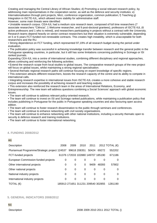Creating and managing the Central Library of African Studies; d) Promoting a social relevant research policy, by addressing main representatives in the cooperation sector, as well as the defence and security institutes; e) Internationalisation through joint projects, MoU, conference organization, common publication; f) Teaching g) Integration in ISCTE-IUL, which allowed more stability for administrative staff. However, some main threats were identified:

• Unstable research corpus. CEA-IUL had a medium size research team, composed of full time researchers (7 associate researchers "Ciência", 1 Welcome researcher, and 9 post-doctoral grantees), professors of ISCTE-IUL (6 active professors and 1 who is retired), and researchers participating in projects without a contract with the University. Research teams depend heavily on senior contract researchers but their situation is extremely vulnerable, depending on 5 or 6 years FCT-funded non-renewable contracts. This creates high instability, which is unacceptable for both researchers and the RU.

• Strong dependence on FCT funding, which represented 97,19% of all research budget during the period under evaluation.

• The publication policy was successful in achieving knowledge transfer between research and the general public in the Portuguese speaking countries, in particular, but it still has some limitations concerning publishing in Scimago or ISI ranked journals.

Expanding CEA-IUL into a centre of international studies, combining different disciplinary and regional approaches, allows continuing and reinforcing the following activities:

• Extend the research scope from local studies to global issues. The comparative research groups of the new project will focus on global issues, whilst maintaining a strong regional specialisation.

• Several thematic regional research paths will continue focusing on expert knowledge of specific regions.

• This extension attracts different researchers, boosts the research capacity of the centre and its ability to compete in international calls.

• Integrating research expertise in international issues from ISCTE-IUL creates a more cohesive and stable research corpus and increases the possibility of achieving research and teaching outputs.

• This extension also reinforced the research team in the areas of International Relations, Economy, and Entrepreneurship. The new team will address questions combining a Social Sciences' approach with global economic issues.

• The team will continue to address relevant policy-oriented research.

• The team will continue to invest on ISI and Scimago ranked publications, while maintaining a publication policy that includes publishing in Portuguese for the public in Portuguese speaking countries and also favouring open access edition.

• The team will continue to foster research dissemination to the public through seminars and conferences.

• The team will continue to enhance networking with civil society organisations.

• The team will continue to enhance networking with other national institutions, including a security thematic open to security & defence research and training institutions.

• The team will continue to foster international networking.

#### **4. FUNDING 2008/2012**

#### **4.1**

| Description                                                 | 2008 | 2009                               | 2010 | 2011  |       | 2012 TOTAL $(\epsilon)$ |
|-------------------------------------------------------------|------|------------------------------------|------|-------|-------|-------------------------|
| Pluriannual Programme/Strategic project 124537 99618 208351 |      |                                    |      | 50424 | 69272 | 552202                  |
| FCT-funded projects                                         |      | 61376 172033 102880 149707 185190  |      |       |       | 671186                  |
| European Commission-funded projects                         | 0    | 0                                  | 0    | 0     | 0     | $\Omega$                |
| Other international projects                                | 0    | 0                                  | 0    | 9409  | 48393 | 57802                   |
| Other national projects                                     | 0    | 0                                  | 0    | 0     | 0     | 0                       |
| National industry projects                                  | 0    | 0                                  | 0    | 0     | 0     | 0                       |
| International industry projects                             | 0    | 0                                  | 0    | 0     | 0     | 0                       |
| TOTAL $(\in)$                                               |      | 185913 271651 311231 209540 302855 |      |       |       | 1281190                 |

#### **5. GENERAL INDICATORS 2008/2012**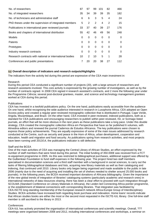| No. of researchers                                       | 87 | 97 | 99 | 101 | 82 | 466 |
|----------------------------------------------------------|----|----|----|-----|----|-----|
| No. of integrated researchers                            | 35 | 34 | 39 | 39  | 35 | 182 |
| No. of technicians and administrative staff              | 6  | 6  | 3  | 5   | 4  | 24  |
| PhD theses under the supervision of integrated members   | 5  | 2  | 2  | 4   | 2  | 15  |
| Publications in international peer reviewed journals     | 33 | 37 | 40 | 39  | 27 | 176 |
| Books and chapters of international distribution         | 55 | 42 | 46 | 49  | 56 | 248 |
| <b>Models</b>                                            | 0  | 0  | 0  | 0   | 0  | 0   |
| <b>Patents</b>                                           | 0  | 0  | 0  | 0   | 0  | 0   |
| Prototypes                                               | 0  | 0  | 0  | 0   | 0  | 0   |
| Industry research contracts                              | 0  | 0  | 0  | 0   | 0  | 0   |
| Research contracts with national or international bodies | 10 | 2  | 10 | 5   | 1  | 28  |
| Conferences and public presentations                     |    | 20 | 20 | 38  | 27 | 112 |
|                                                          |    |    |    |     |    |     |

#### **5.2 Overall description of indicators and research outputs/Highlights**

The indicators from the activity led during this period are expressive of the CEA main investment in:

#### Research

During this period CEA conducted a significant number of projects (20), with a large amount of researchers and research assistants involved. This core activity is expressed by the growing number of investigators, as well as by the number of contracts signed. In 2008 CEA signed 4 research assistant's contracts, and 2 more the following year under the Programme Ciência; several post-doctoral grantees, master, and science and technology management grantees worked at CEA during this period.

#### **Publications**

CEA has invested in a twofold publications policy. On the one hand, publications easily accessible from the audience On one hand, whilst recognising the wide audience interested in research in Lusophone Africa, CEA adopted an Open Access policy and created a regular peer-reviewed monographic collection that is distributed in Portugal, Cape Verde, Angola, Mozambique, and Brazil. On the other hand, CEA invested in peer-reviewed, indexed publications, both as a standard for CEA publications and encouraging researchers to publish within peer-reviewed, ISI, or Scimago listed journals, an effort that will be more obvious in the next years as these publications take a long pace. Under this double strategy, CEA created the monographic collection África em Perspectiva that have so far published 6 volumes, with Almedina editors and renewed the journal Cadernos de Estudos Africanos. The key publications were chosen to express those policy achievements. They are equally expressive of some of the main issues addressed by research conducted at the Centre, such as security and peace in the Horn of Africa, urban development, cooperation and education, health and migration and food security. As publications spring from research activities, and most projects have been running until 2013/14, the publications indicator is still defective.

#### Staff and the BCEA

One of the main activities of CEA was managing the Central Library of African Studies, an effort expressed by the number of staff members that were hired during this period. The initial funding of 350.000€ was received from a FCT re-equipment programme in 2005. As this was restricted to bibliographical purchases, additional support was offered by the Gulbenkian Foundation to fund staff expenses in the following year. The project hired two staff members specialised in documentation sciences and a third staff member with a background in social sciences, to carry out the tasks of filtering bibliographical databases and lists, acquiring new library materials as well as their cataloguing and indexing, that continued until 2010. Library books only began being organised and made available to the public in late 2006 (mainly due to the need of acquiring and installing the set of shelves needed to shelter around 25.000 books and journals). In the following years, the BCEA received important donations of Africana bibliography. Given the importance of the new global trends of integration of libraries' cataloguing systems (particularly academic and research ones) in international networks of data resources sharing, there has been a clear effort to proceed with such integration through SCOLMA (Standard Conference on Library Materials in Africana), the Leiden led Connecting-Africa pointer programme, or the establishment of bilateral connections with corresponding libraries. That integration was facilitated by CEA-ISCTE long-standing membership of the European research network Africa-Europe Group of Interdisciplinary Studies. BCEA activities have increased both regarding book purchase and indexation. Home loans' records indicate that African studies books are either the most or the second most requested in the ISCTE-IUL library. One full-time staff member is still ascribed to the library in 2013.

#### **Conferences**

CEA-IUL has actively promoted the organisation of international conferences and scientific meetings. Overall, ??? meetings were organised between 2008 and 2012, including international conferences and workshops, a seminar on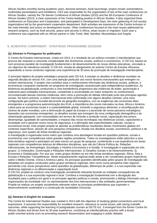African Studies (monthly during academic year), doctoral seminars, book launchings, project results' presentations, multimedia presentations and exhibitions. CEA was responsible for the organisation of two of the main conferences on African Studies, namely the 7th Iberian Conference of African Studies (2010) and the 5th European Conference of African Studies (2013), a clear expression of the Centre leading position in African Studies. It also organized three conferences on Education and Cooperation, and participated in Development Days, the main gathering of civil society organizations led by the government cooperation department. Both activities are expressive of the Centre inclusion in the main thematic and actors on development issues. Other conferences focused on the main issues addressed by research projects, such as food security, peace and security in Africa, urban issues or migration. Each year a conference was organised with an African partner in São Tomé, Mali, Namibia, Mozambique and Angola

## **6. SCIENTIFIC COMPONENT - STRATEGIC PROGRAMME 2015/2020**

#### **6.1 Abstract in Portuguese for publication**

O Centro de Estudos Internacionais, criado em 2013, é o resultado de um esforço inovador e interdisciplinar que procura dar resposta à crescente complexidade dos fenómenos sociais, políticos e económicos. O CEI-IUL baseia-se num processo paralelo de investigação fundamental e de desenvolvimento de novas ofertas educativas, vinculado a um objectivo de relevância societal. O CEI-IUL resulta do alargamento do anterior Centro de Estudos Africanos, expandindo a novos contextos regionais uma experiência de 30 anos de promoção de investigação interdisciplinar.

O principal objetivo do projeto estratégico proposto pelo CEI-IUL é estudar os desafios e dinâmicas mundiais na segunda década do século XXI, com uma atenção particular aos novos factores estruturantes que emergem no cenário internacional. O projeto visa contribuir para o conhecimento informado das dinâmicas sociais, politicas, e económicas conquanto mantendo um programa de investigação caracterizado pela independência académica. As dinâmicas da globalização conduziram a uma transferência progressiva das instâncias de poder, governação e soberania para entidades transnacionais, competindo à universidade um maior empenho no conhecimento circunstanciado dessas mesmas instâncias, bem como a promoção do debate informado junto dos principais agentes sociais. No futuro próximo, a ordem internacional está confrontada com alguns desafios centrais: uma nova configuração geo-política mundial decorrente da geografia energética, com as exigências das economias ditas emergentes e a progressiva autonomização dos EUA; a importância dos novos mercados na Asia, África e América Latina para as economias locais e a sustentabilidade global, incluindo a segurança alimentar; a reconfiguração dos centros de poder mundiais, com a diminuição do papel da Europa e a ascensão de novos parceiros estratégicos baseados nas economias emergentes; os desafios sociais que emergem da nova configuração demográfica e da urbanização galopante, com necessidades em termos de inclusão e proteção social, capacitação dos jovens, desemprego, igualdade de oportunidades; o impacto das novas tecnologias nas dinâmicas sociais, capacitando a sociedade civil e gerando novos riscos de segurança; e a afirmação das especificidades culturais, sociais e económicas locais. Este projeto propõe-se abordar as problemáticas resultantes destes movimentos globais em contextos específicos, através de uma pesquisa comparativa, focada nos desafios sociais, económicos, políticos e de segurança, num quadro de linhas temáticas regionais.

A investigação é organizada numa matriz que combina uma abordagem focada em questões políticas, sociais e económicas com competências sobre grandes regiões prioritárias. Todos os investigadores estão adscritos a uma linha temática regional e participam em pelo menos um grupo de pesquisa, combinando a sua experiência em áreas regionais com competências teóricas de diferentes disciplinas, que vão da Ciência Política às, Relações Internacionais, da Antropologia, Sociologia, e História à Economia e à Gestão. A investigação é organizada em três grupos: 1) Instituições, Governação e Relações Internacionais; 2) Desafios Sociais e do Desenvolvimento; 3) Economia e Globalização. Por sua vez, estes grupos dividem-se em três linhas temáticas regionais: África, Ásia e Europa e Relações Transatlânticas. Neste enquadramento regional estão ainda a ser constituídos grupos específicos sobre o Médio Oriente, China e América Latina. As principais questões identificadas pelos grupos de investigação são debatidas em projetos conduzidos pelos grupos temáticos regionais, bem como numa perspetiva inter-regional , permitindo criar novas perspectivas sobre questões da globalização, diferenças de poder, e a sua expressão nas dinâmicas regionais e na diferenciação e capacitação local.

O CEI-IUL propõe-se conduzir uma investigação socialmente relevante focando as múltiplas consequências da globalização e a sua expressão regional e local. Combina a investigação fundamental com a divulgação dos resultados para o público em geral e os principais agentes políticos e sociais, promovendo o diálogo informado com as organizações da sociedade civil, os representantes dos fora internacionais e das entidades governamentais. Propõe-se realizar um projeto socialmente relevante sobre as principais problemáticas que suportam o desenvolvimento sustentável e a construção de sociedades inclusivas.

#### **6.2 Abstract in English for evaluation**

The Centre for International Studies was created in 2013 with the objective of studying global connections and local expressions. It assumes the responsibility for excellent research, relevance to social issues, with strong scientific outcomes, while supporting the teaching of postgraduate courses at ISCTE-IUL. It emerged from the former Centre for African Studies and drives from its 30-year experience, combining an interdisciplinary practice with a broad public-oriented activity such as promoting research dissemination and engaging in public debates.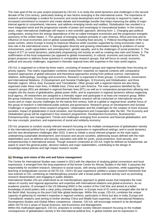The main goal of the six-year project proposed by CEI-IUL is to study the world dynamics and challenges in the second decade of the 21st century, particularly looking at new factors emerging in the international scene. The importance of research and knowledge is evident for economic and social development and the university is required to make an increased commitment to research and create debate and knowledge transfer that helps improving the ability of major internal agents to comprehend, intervene, and address emerging trends and realities. Globalisation has resulted in a more integrated world and the progressive transfer of power and sovereignty to transnational bodies. In the coming years, major international challenges will require a new scientific approach, deriving from: 1. Changing geo-political configuration, arising from the energy dependence of the so-called emergent economies and the progressive energetic autonomy of the United States. 2. The upraise of emerging markets primarily in Latin America, Africa and Asia and its influence on local economies and on global sustainability, including food security. 3. Political reconfiguration of the main power centres, where Europe is losing its historical influence while countries supported by rising economies claim a new role in the international scene. 4. Demographic diversity and growing urbanisation leading to problems of social inclusiveness, youth capacitation and unemployment, gender equality, and to the challenges of social protection. 5. The impact of ICT on social dynamics, particularly empowering civil society as well as creating new risks and threats. 6. The reaffirmation of the local uniqueness (as opposed to global movements), in cultural, economic and social terms. This project proposes to address those questions in comparative research groups, that will focus on social, economic, political and security challenges, organised in thematic regional lines with expertise in the main world regions.

CEI-IUL is organised on a three-by-three matrix, consisting of research groups and regional thematic lines focusing on priority regions. This matrix organisation combines researchers' expertise on regional contexts with comparative research approaches of global relevance and theoretical approaches arising from political science, international relations, anthropology, sociology and economics. Research is organised in three groups: 1) Institutions, Governance and International Relations, 2) Development and Societal Challenges, 3) Economy and Globalisation; and three thematic regions: Africa, Asia, European and Transatlantic. Other groups with a regional interest are also being organised under these main lines, in Middle East, China and Latin America. The main questions identified by the research groups (RG) are debated in regional thematic lines (RTL) as well as in comparative perspectives allowing new insights into the issues of globalisation, global power shifts, and its expression in regional dynamics without neglecting local agency. All researchers are assigned to a thematic region and participate in at least one research group. Within the group Institutions, Governance and International Relations research will be conducted on international security issues and on major security challenges for the twenty-first century, both at a global or regional level; another focus of this group of research is international public policies and governance. Research group on Development and Societal Challenges is organised in three research programs: Urbanisation and the challenges for the creation of more inclusive societies; Impact of globalization in local societies, and Development and Cooperation after the MG. The Economy and Globalisation group will be organised in four research programmes: Development Economics, Businessmen; Entrepreneurship, and management; Trends and challenges emerging from economic and financial globalisation; and the new concepts, practices, and experiences of social and solidarity economy.

CEI-IUL proposes to conduct society relevant research focusing on the multiple consequences of globalisation namely in the international political fora, in global markets and its expression in regional/local settings, and in social dynamics and the new development challenges after 2015. It aims to initiate a social relevant program on the main topics underpinning sustainable development, and inclusive and secure societies, addressing issues defined with the main stakeholders such as defence and security, education and skills for youth, social protection, food security, and entrepreneurship in international arenas. Though research conducted at CEI-IUL might be defined as fundamental, we aspire to reach the general public, decision makers and major stakeholders, contributing to the design of knowledge-based policies and high impact research results.

#### **6.3 Strategy and vision of the unit and future management**

The Centre for International Studies was created in 2013 with the objective of studying global connections and local expressions. It emerged from the long experience of the former Centre for African Studies in the field. It assumes the responsibility for excellent research, relevance to social issues, with strong scientific outcomes, while supporting the teaching of postgraduate courses at ISCTE-IUL. CEA's 30-year experience yielded a unique research framework that now extends to CEI, combining an interdisciplinary practice with a broad public-oriented activity such as promoting research dissemination and engaging in public debates.

International Studies (IS) are understood as an interdisciplinary approach to global issues that integrates the main values of country and regional approaches and expertise with international relations and global economics. As an academic practice, IS emerged in the US following WW2 in the context of the Cold War and aimed at a better knowledge of world politics with a clear policy oriented objective. In Europe most of IS centres emerged after the fall of the Berlin Wall, focusing on the post-Cold War global landscape. Within this scope, CEI-IUL combines the unique capacity of gathering its member's expertise in regional contexts, particularly in Africa but also in India, Europe and Transatlantic relations (and aiming to further develop China and Middle East expertise), with International Relations, Development Studies and Global Affairs competence. Likewise, CEI-IUL will encourage research to be developed within ISCTE-IUL's areas of Social Sciences, and Economics and Management.

Within this multivalued approach, CEI-IUL proposes to conduct society relevant research focusing on the multiple consequences of globalisation namely in the international political fora, in global markets and its expression in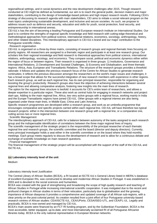regional/local settings, and in social dynamics and the new development challenges after 2015. Though research conducted at CEI might be defined as fundamental, our aim is to reach the general public, decision makers and major stakeholders, contributing to the design of knowledge-based policies and high impact research results. Following CEA's strategy of discussing its research agenda with main stakeholders, CEI aims to initiate a social relevant program on the main topics underpinning sustainable development, and inclusive and secure societies. As such, we propose to address issues such as defence and security, education and skills for youth, social protection, food security, and entrepreneurship in international arenas.

CEI-IUL's has the aim of becoming a leading Portuguese and European research institute on International Studies. Our goal is to combine the strengths of regional specific knowledge and field research with cutting-edge theoretical and methodological approaches from political science, international relations, economics, sociology, anthropology, history, and other related disciplines. This interdisciplinary approach is CEI-IUL's brand and our major contribution to the Portuguese scientific milieu.

#### . Research organisation

CEI-IUL is organised on a three-by-three matrix, consisting of research groups and regional thematic lines focusing on priority regions. All researchers are assigned to a thematic region and participate in at least one research group. Our scholars link their regional knowledge and field research to theoretical approaches from political science, international relations, anthropology, sociology, and economics. They compare social, political and economic dynamics either within the region of focus or between regions. Their research is organised in three groups: 1) Institutions, Governance and International Relations, 2) Development and Societal Challenges, 3) Economy and Globalisation; and three thematic regions: Africa, Asia, European and Transatlantic Relations. The structure of the research groups provides a threefold rationale: it follows and updates the previous research focus of the Centre for African Studies to generate research continuities; it reflects the previous discussion amongst the researchers on the world's major issues and challenges; it has a broad scope that allows for the successful integration of new research members with experience in other regions. Each research group, as well as each regional line, has its own principal researcher, responsible for organising and boosting the group's productivity. Research groups also have the objective of achieving interactions between several regional lines and allowing comparative analysis, fostering new insights into the main lines of research.

The option for the regional lines structure is twofold: it accounts for CEI's entire team of researchers, and allows a deeper expertise in a particular region. These also work as central hubs for engaging in research networks and project start-ups. Adding to the main regional line, Africa, two very active groups with a regional focus, working mainly in India and the Europe-Transatlantic regions have joined CEI-IUL. Other groups with a regional interest are also being organised under these main lines, in Middle East, China and Latin America.

Specific research programmes are developed within a research group, and work as an umbrella programme that encourages comparative and specific projects carried within each regional line. CEI-IUL will have therefore two typical research projects: either in the intersection between one research group with a regional line, or a comparative one, cutting across two or more regional lines.

#### . Scientific Management

The interdisciplinary approach of CEI-IUL calls for a balance between autonomy of the tasks assigned to each research group and the indispensable identification of correlations between the three major regional lines of inquiry. The scientific management of the strategic project is the responsibility of the principal researcher of each thematic regional line and research groups, the scientific committee and the board (director and deputy directors). Currently, every principal investigator holds a seat either in the scientific committee or on the board where they hold monthly meetings. Each group meets regularly to discuss the development of research and to allow for a continuous debate and exchange of scientific knowledge on main research questions.

#### . Financial management

The financial management of the strategic project will be accomplished with the support of the staff of the CEI-IUL and ISCTE-IUL.

#### **6.4 Laboratory intensity level of the unit**

Medium

#### Laboratory intensity level Justification

The Central Library of African Studies (BCEA), a RI located at ISCTE-IUL's General Library listed in MERIL's database of excellent European RIs, was constructed to develop and modernise African Studies in Portugal. It was established in 2003 and is devoted to the social sciences and humanities.

BCEA was created with the goal of strengthening and broadening the scope of high quality research and teaching of African Studies in Portugal while increasing international scientific cooperation. It was instigated due to the recent and profound changes in African studies in terms of their relocation, particularly due to globalisation and the growing importance of African diasporas It provides a comprehensive and updated coverage of all African sub-regions, with a clear priority on the post-colonial period. Its creation resulted from a joint effort of four Portuguese university-based research centres of African studies: CEA/ISCTE-IUL, CEA/UPorto, CESA/ISEG-UTL, and CEA/FL-UL. Legally and practically, BCEA is now owned and managed by CEI-IUL.

BCEA's main assets were financed by an FCT RI funding program, and by the Gulbenkian Foundation. BCEA is the most accessible, better equipped, up-to-date, and most internationally acclaimed RI of all Portuguese Africanist libraries today. BCEA is the only national representative in European librarian networks.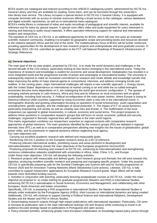BCEA assets are catalogued and indexed according to the UNESCO cataloguing system, administered by ISCTE-IUL General Library and they are available for reading, home loans, and can be borrowed through the university's inter-library loan service. The Library occupies a special section in ISCTE-IUL's General Library. It is equipped with computer terminals with an access to intranet resources offering a broad access to the catalogue, various databases, and digital scientific repositories, as well as to international meta-catalogues.

BCEA's media library is composed of video and audio recordings of pedagogical and scientific interest, available for reference and for loans by special request. A special room offers video and audio equipment for users interested in viewing and listening to audio-visual materials. It offers specialist-referencing support for national and international readers and researchers.

The transition of CEA-IUL to CEI-IUL is an additional opportunity for BCEA, which will now rest upon an extended scientific research community, enabling it to broaden its geographic scope and providing books and resources devoted to the relations between Africa and the rest of the world. The multidisciplinary focus of BCEA will be further reinforced, providing opportunities for the development of new research projects and undergraduate and post-graduate courses. In September 2013, CEI-IUL submitted an application to the FCT call National Roadmap of Research Infrastructures of Strategic Relevance.

#### **6.5 General objectives**

The main goal of the six-year project, proposed by CEI-IUL, is to study the world dynamics and challenges in the second decade of the 21st century, particularly looking at new factors emerging in the international scene. Today the importance of research and knowledge is evident for economic and social development. Globalisation has resulted in a more integrated world and the progressive transfer of power and sovereignty to transnational bodies. The university is subsequently required to make an increased commitment to research and create debate and knowledge transfer that helps improving the ability of major internal agents to comprehend, intervene, and address emerging trends and realities. In the coming years, major international challenges will require a new scientific approach: 1. Energy issues, with the United States' dependence on international oil market coming to an end while the so-called emergent economies become more dependants on it, are redesigning the world geo-economic configuration. 2. The upraise of emerging markets primarily in Latin America, Africa and Asia and its influence on local economies and on global sustainability, including food security. 3. Political reconfiguration of the main power centres, where Europe is losing its historical influence while countries supported by rising economies claim a new role in the international scene. 4. Demographic diversity and growing urbanisation focusing on questions of social inclusiveness, youth capacitation and unemployment, gender equality, and the challenges of social protection. 5. The impact of ICT on social dynamics, particularly empowering civil society as well as creating new risks and threats. 6. The reaffirmation of the local uniqueness (as opposed to global movements), in cultural, economic and social terms. This project proposes to address these questions in comparative research groups that will focus on social, economic, political and security challenges, organised in thematic regional lines with expertise in the main world regions.

This matrix organisation combines our researchers' expertise on regional contexts with comparative research approaches of global relevance. The main questions identified by the research groups (RG) are debated in regional thematic lines (RTL) as well as in comparative perspectives allowing new insights into the issues of globalisation, global power shifts, and its expression in regional dynamics without neglecting local agency.

#### Our main objectives are:

. Carrying out excellent academic research with defined and measurable goals.

. Reinforcing CEI-IUL's position on the European research arena as a RU of reference.

. Producing relevant international studies, prioritising issues and areas pertinent to development and

internationalisation, following closely the main objectives of the European programme Horizon2020.

. Producing proposals for teaching and research at ISCTE-IUL, enhancing its internationalisation and strengthening numerous collaborative networks established with universities in Africa, India, China, U.S., and Europe. Under these main objectives, CEI-IUL will develop the following activities:

1. Research projects with measurable and defined goals. Each research group and thematic line will work towards this objective, producing excellent scientific research and preparing and managing specific projects. Under this purpose, CEI-IUL is specifically preparing calls for the Societal Challenges and Science with and for Society programmes of Horizon 2020 and for Innovative Training Networks (Marie Sklodowska-Curie actions). Likewise, CEI-IUL is fully committed to support researchers' applications for European Research Council grants. Major efforts will be made towards more diversified funding sources.

2. Activities in conjunction with teaching, particularly lecturing postgraduate courses at ISCTE-IUL. Under this main objective we propose to: a) create training for graduate programmes (Masters and PhD) in International Studies, enhancing ISCTE-IUL's specialisation in Social Sciences, Economics and Management, and collaborating with other European, North-American and Indian universities.

Specifically, CEI-IUL is preparing a PhD programme in International Studies; the Master in International Studies is already under evaluation by the Portuguese Agency (A3Es); short courses on international dynamics are being created. Additionally, CEI-IUL will continue to support training in Political Science and International Relations, Development Studies and the Master and PhD in African Studies.

3. Disseminating research outputs through high impact publications with international reputation. Particularly, CEI aims to increase its publication ratio in the main international rankings (ISI and Scopus) while continuing to invest in an audience focused strategy based on publications in Portuguese and open access.

4. Policy-oriented activities, enhancing greater trans-European collaboration on knowledge-based policy advice through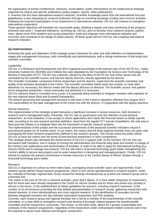the organisation of events (conferences, seminars, round tables), public interventions (in the media and at meetings organised by others) and specific publications (policy-papers, reports, other publications).

5. Insertion into the main international research networks. Scientific knowledge arises from the international fora and globalisation is also impacting on research production through an enriching exchange of ideas and common activities. Following the long-term participation of our researchers in international networks, CEI-IUL will continue to strengthen international cooperation.

These general objectives will translate into measurable goals, allowing a regular and easy monitoring of the progress achieved (see point 7. Expected indicators). Summing-up, CEI-IUL aims to develop more research projects, publish more, attract more PhD students and young researchers, build and integrate more international networks and consortia, and contribute to the design of public policies. All these goals will turn CEI-IUL into a leading international research institution.

#### **6.6 Implementation**

Achieving the goals and objectives of this strategic project demands the clear and solid definition of implementation stages and management structures, both scientifically and administratively, with a strong involvement of the board and scientific committee.

#### Leadership

CEI-IUL is a Research and Development Unit (RU) organised accordingly to the internal rules of the ISCTE-IUL, Lisbon University Institute (DL 95/2009) and it follows the rules stipulated by the Foundation for Science and Technology of the Ministry of Education (FCT). The RU has a director, elected by the dean of ISCTE-IUL from three names that are nominated by the scientific council, and has two deputy directors, directly appointed by the director.

The Scientific Committee, composed of three researchers and the director, supervises the scientific orientation and quality of the activities developed in the Centre. The scientific committee meets every two months, or more often whenever it is necessary; the director meets with the deputy directors on demand. The Scientific council, that gathers all the integrated researchers, meets biannually and whenever it is necessary.

CEI-IUL advisory board is consulted once a year; it is presently being extended to integrate members with expertise on the new regional areas (Asia and Europe&Transatlantic).

The present governing and management structure is laid down in the Centre's regulation effective from August 2013. The responsibility for the daily management of the Centre lies with the director, in cooperation with the deputy directors.

#### Human resources

The implementation of this strategic project demands a significant increase in human resources, both devoted to research and to management tasks. Presently, CEI-IUL has no governance over the selection of post-doctoral researchers. As host institution, it can accept or refuse applications but it lacks the financial means to initiate specific calls, according to its own research priorities definition. Apart from the regular FCT annual competitions, the only way to have post-doc fellows is to integrate them into the framework of specific research projects.

The implementation of this project and the successful achievement of the proposed scientific indicators require 9 post-doctoral grants (of 24 months each). In our matrix, this means that the three regional thematic lines can open calls overlapping the three research programmes (defined in the research groups). This human resources policy allows CEI-IUL to have full control over the terms of post-doctoral researchers in open competitions.

This strategic project also demands the reinforcement of CEI-IUL's support staff. At the moment, CEI-IUL has two permanent staff members: one in charge of running the administrative and financial daily tasks and another in charge of the Centre's own publications and dissemination of activities. In order to be able to apply for international funding (e.g. Horizon 2020) and to manage new projects, CEI-IUL will need a Science&Technology grant holder strengthening the Centre's ability to secure new projects and to assist researchers in designing and managing projects. Finally, CEI-IUL intends to maintain the present commitment in human resources to the Central Library of African Studies through a Science&Technology grant holder.

#### Research

CEI-IUL is organised on a three by three matrix basis, overlapping broad scientific topics and regional lines. Each research group defines broad research programmes, which in turn will be operationalized in research projects, under the umbrella of thematic regional lines. Every researcher belongs simultaneously to at least one research group and to a thematic line.

This matrix is the core of CEI-IUL's research activities, given that it allows: 1) a more stable integration of researchers, both for those who were already integrated in the Centre for African Studies and for those who joined only recently or will join in the future; 2) the establishment of clearer guidelines for research, including research outcomes; 3) the creation of an environment promoting the free debate and presentation of research results, gathering researchers with shared interests; 4) more interdisciplinary and cross regional research; 5) the identification of synergies not only between integrated members but also between associated researchers and PhD students.

Currently, each research group and regional thematic line is led by a member of the board/member of the scientific committee, in a clear effort to strengthen research and develop a thorough relation between the board/scientific committee and the researcher's community. This choice, on the other hand, allows for a greater sustainability and continuity of the research programmes, regardless of the researchers under contract/grant holders turnover and it has the potential to attract more national and foreigner researchers.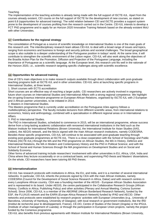#### **Teaching**

The implementation of the teaching activities is already being made with the full support of ISCTE-IUL. Apart from the courses already existent, CEI counts on the full support of ISCTE for the development of new courses, as stated on point 6.8 (opportunities for advanced training). The solid relation between CEI and ISCTE provides a support system prone to the development of courses profiting from the research carried out in the Centre. CEI-IUL intends to develop a FCT PhD programme and to apply for an Horizon 2020 Innovative Training Network based on the already existent MoU with other Universites.

#### **6.7 Contributions for the regional strategy**

The consolidation of Portugal as a source of scientific knowledge on International Studies is one of the main goals of this research unit. The interdisciplinary research team allows CEI-IUL to deal with a broad range of issues and topics, ranging from economics and business to foreign and security policies and societal challenges. The broad geographical scope is also suitable to a deeper understanding of the Portuguese position in todays' world. At the same time, it will contribute to strengthen the scientific environment of the Lisbon region. CEI-IUL will also work along the objectives of the Brasilia Action Plan for the Promotion, Diffusion and Projection of the Portuguese Language, including the importance of Portuguese as a scientific language. At the European level, this research unit fits well in the rationale of the Horizon 2020, i.e., scientific research targeting specific challenges along with scientific excellence.

#### **6.8 Opportunities for advanced training**

One of CEI's main objectives is to make research outputs available through direct collaboration with post-graduate teaching programs both at ISCTE-IUL and in other universities. CEI-IUL aims at launching specific programs in International Studies, at three levels:

1. Short courses with ECTS accreditation

Short courses are an effective way of reaching a larger public. CEI researchers are actively involved in organising future short courses on International Studies and International Affairs with a strong regional competence. We highlight the on-going Erasmus intensive programme on European-African Relations, organised by ISCTE-IUL with 2 European and 3 African partner universities, to be initiated in 2014.

2. Masters in International Studies.

This Masters programme that is currently under accreditation on the Portuguese A3es agency follows a multidisciplinary perspective. The faculty includes lecturers from different scientific areas, from international relations to economics, history and anthropology, combined with a specialisation in different regional areas or in International **Affairs** 

3. PhD in International Studies.

The PhD in International Studies, scheduled to commence in 2015, will be an international programme, whose success derive from a long-lasting academic collaboration with renowned international institutions in the field such as the Watson Institute for International Relations (Brown University), the International Institute for Asian Studies (IIAS, Leiden), the AEGIS network, and the MoUs signed with the main African research institutions, namely CODESRIA. Besides these specific programmes, CEI-IUL will continue to be associated with post-graduate teaching through existing post-graduate programmes at ISCTE-IUL. There is a close cooperation with the School of Sociology and Public Policies (ISCTE-IUL) through the MA and the PhD programme on African Studies, the MA in History, Defence and International Relations, the MA in Modern and Contemporary History and the PhD in Political Science; and with the School of Social and Human Sciences through the MA programmes on Development Studies and on Social and Solidarity Economy.

Other forms of advanced training include researchers' involvement with other universities in EU, Africa, USA, India and China where they lecture occasionally or on a contractual basis; and supervising PhD thesis and Masters' dissertations. On the whole, CEI researchers have been tutoring 68 PhD theses.

#### **6.9 Internationalization**

CEI-IUL has research protocols with institutions in Africa, the EU, and India, and it is a member of several international networks. In particular, CEI-IUL inherits the protocols signed by CEA with the main African Institutes, namely CODESRIA (Council for the Development of Social Science Research in Africa, Dakar) and with research centres in every Lusophone African country. CEA was a founding member of the AEGIS - European African Studies Association and is represented in its board. Under AEGIS, the centre participated in the Collaborative Research Groups (African History; Conflicts in Africa; Publishing Policy) and other activities (Plenary and Annual Meeting; Cortona Summer School). Since 2006, CEI-IUL is a member of the ABORNE (African Borderland Research Network), funded by the ESF, the FLUXUS network and the EARN (Europe-Africa Research Network) funded by IPAD and AECID. Other networks and protocols were established by research projects' activities with European Universities (e.g., University of Barcelona, University of Hamburg, University of Glasgow); with local research or government institutions, like the IRD (Institut de recherche pour le développement, France), CE.DO, Centre of Studies of the Desert (Angola) or the IPGUL (Institute of urban management of Luanda); or through the participation in European Union projects, namely the project funded by the Comenius programme.

CEI-IUL also benefits from previous agreements with Watson Institute for International Relations (Brown University,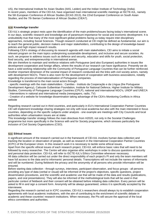US), the International Institute for Asian Studies (IIAS, Leiden) and the Indian Institute of Technology (India). In recent years, members of the CEI-IUL have organised main international scientific meetings at ISCTE-IUL, namely the 5th European Conference of African Studies (ECAS 2013), the 22nd European Conference on South Asian Studies, and the 7th Iberian Conference of African Studies (CIEA7).

#### **6.10 Knowledge transfer**

CEI-IUL's strategic project rests upon the identification of the main problems/issues facing today's international scene. In our days, scientific research and knowledge are of paramount importance for social and economic development. It is undoubtedly true that many of the most significant global problems facing us today require inter-disciplinary approaches, including Social Sciences. Though research conducted at CEI might be defined as fundamental, our aim is to reach the general public, decision makers and major stakeholders, contributing to the design of knowledge-based policies and high impact research results.

Following CEA's strategy of discussing its research agenda with main stakeholders, CEI aims to initiate a social relevant program on the main topics underpinning sustainable development, and inclusive and secure societies. As such, we propose to address issues such as defence and security, education and skills for youth, social protection, food security, and entrepreneurship in international arenas.

We aim therefore to maintain and reinforce relations with Portuguese (and also European) authorities in issues like development cooperation and foreign affairs, where the results of our research can have significance. Presently we do have a solid working relationship with the Community of Portuguese Language Countries that can be further reinforced. Another important dimension of the societal impact of research conducted are the links with civil society actors, namely with development NGO's. There is also room for the development of cooperation with business associations, notably regarding the process of internationalisation of Portuguese companies.

Knowledge is transferred to the main social actors through:

- specific meetings with the main stakeholders : Camões - Instituto da Cooperação e da Língua (the Portuguese Development Agency), Calouste Gulbenkian Foundation, Institute for National Defence, Higher Institute for Military Studies, Community of Portuguese Language Countries (CPLP), national and international NGO's, UNDP and UNECA - Interventions in national and international media (newspapers, radio, TV)

- Creation of a website for knowledge dissemination taking advantage of the CEA's Monitoring Conflicts in Africa

Regarding research carried out in third countries, and particularly in EU's International Cooperation Partner Countries CEI will implement knowledge sharing strategies not only with local academia but also with the main interested in focus countries, depending on the specific subjects under analysis - one example are meetings with City Councils and local authorities when urbanisation issues are at stake.

This knowledge transfer strategy follows the main directives from H2020, not only in the Societal Challenges programme but more specifically in the Science with and for Society programme, which stresses particularly the inclusion of Civil Society Organizations (CSO).

#### **6.11 Ethical issues**

website

A significant amount of the research carried out in the framework of CEI-IUL involves human data collection and tracking the location or observation of people, as well as research in the International Cooperation Partner Countries (ICPC) of the European Union. In this research work it is necessary to tackle some ethical issues.

Apart from the specific ethical issues of each research project, CEI-IUL will enforce basic rules that will need to be followed by every researcher. The Centre will also organise ethic workshops in order to discuss questions of security and personal data protection. CEI-IUL will refer to ISCTE-IUL's Ethics Committee whenever necessary.

All data collection will be carried out under the direct responsibility of each project's PI and only the team members will have full access to the data and to informants' personal details. Transcriptions will not include the names of informants and will be numbered. During fieldwork the privacy and the anonymity of all persons who provide information will be ensured.

Before starting data collection - through surveys, interviews, participant observation, and focus groups - all persons providing any type of data (verbal or visual) will be informed of the project's objectives, specific questions, project dissemination procedures, and the scientific and academic use that will be made of the data and results (publications, papers, and oral presentations). They will also be informed of the methodological tools that will be used in that particular context of fieldwork and their consent will be obtained before initiating data collection. Every person will be asked to fill in and sign a consent form. Anonymity will be always guaranteed, unless it is specifically accepted by the interviewee.

Regarding the research carried out in ICPC countries, CEI-IUL's researchers should always try to establish cooperation agreements with local academic institutions, with the aim of contributing to the enrichment of scientific debate in academic and these countries' research institutions. When necessary, the PIs will secure the approval of the local ethics committees and authorities.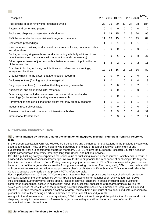| Description                                                                                                                                         | 2015 2016 2017 2018 2019 2020 |                |                |                |                |                | TOTAL<br>$\left( \right)$ |
|-----------------------------------------------------------------------------------------------------------------------------------------------------|-------------------------------|----------------|----------------|----------------|----------------|----------------|---------------------------|
| Publications in peer-review international journals                                                                                                  | 23                            | 26             | 30             | 33             | 34             | 38             | 184                       |
| Patents and performing patents                                                                                                                      | $\Omega$                      | 0              | 0              | 0              | $\Omega$       | $\Omega$       | 0                         |
| Books and chapters of international distribution                                                                                                    | 12                            | 13             | 15             | 17             | 18             | 20             | 95                        |
| PhD theses under the supervision of integrated members                                                                                              | 11                            | 13             | 15             | 15             | 15             | 15             | 84                        |
| Conference proceedings                                                                                                                              | 1                             | 1              | 1              | 1              | 1              | 1              | 6                         |
| New materials, devices, products and processes, software, computer codes<br>and algorithms                                                          | $\mathbf 0$                   | $\mathbf 0$    | $\mathbf 0$    | 0              | $\mathbf 0$    | $\mathbf 0$    | 0                         |
| Books, including single-authored works (including scholarly editions of oral<br>or written texts and translations with introduction and commentary) | 4                             | 5              | 6              | 7              | 8              | 8              | 38                        |
| Edited special issues of journals, with substantial research input on the part<br>of the researcher                                                 | 1                             | $\overline{2}$ | $\overline{2}$ | $\overline{2}$ | $\overline{2}$ | $\overline{2}$ | 11                        |
| Chapters in books, including contributions to conference proceedings,<br>essays in collections                                                      | 13                            | 14             | 16             | 15             | 15             | 16             | 89                        |
| Creative writing (to the extent that it embodies research)                                                                                          | 0                             | 0              | 0              | $\mathbf 0$    | $\Omega$       | $\mathbf 0$    | 0                         |
| Dictionary entries (forming part of investigation)                                                                                                  | 1                             | 0              | 1              | $\mathbf 0$    | 1              | 0              | 3                         |
| Encyclopedia entries (to the extent that they embody research)                                                                                      | 2                             | $\overline{2}$ | 0              | 0              | $\overline{2}$ | 2              | 8                         |
| Audio/visual and electronic/digital materials                                                                                                       | 0                             | $\mathbf 0$    | 0              | 0              | $\mathbf 0$    | 0              | 0                         |
| Other categories, including web-based resources; video and audio<br>recordings (to the extent that they embody research)                            | 0                             | 1              | $\mathbf 0$    | 1              | $\overline{0}$ | 1              | 3                         |
| Performances and exhibitions to the extent that they embody research                                                                                | 1                             | 1              | 1              | 1              | 1              | 1              | 6                         |
| Industrial research contracts                                                                                                                       | 0                             | 0              | $\mathbf 0$    | 0              | $\mathbf 0$    | 0              | 0                         |
| Research contracts with national or international bodies                                                                                            | 4                             | 5              | 5              | 6              | 6              | 6              | 32                        |
| <b>International Conferences</b>                                                                                                                    | 2                             | 2              | 3              | $\overline{2}$ | 3              | 2              | 14                        |
|                                                                                                                                                     |                               |                |                |                |                |                |                           |

#### **8. PROPOSED RESEARCH TEAM**

#### **8.1 Criteria adopted by the R&D unit for the definition of integrated member, if different from FCT reference table**

In the present application, CEI-IUL followed FCT guidelines and the number of publications in the previous 5 years was used as a criterion. Thus, all PhD holders who participate in projects or research lines with a minimum of one publication per year are considered integrated members. CEI-IUL follows the European Research Council's rules for eligible career breaks (maternity, paternity, long-term illness, and national service).

CEI-IUL's publishing policy incorporates the social value of publishing in open access journals, which tends to result in a wider dissemination of scientific knowledge. We would like to emphasise the importance of publishing in Portuguese (and it is much more difficult to find a Portuguese language journal indexed in ISI or Scopus), especially given that an important part of the target audience are the Portuguese speaking countries. That being said, CEI-IUL has made and it will continue to make a strong effort to support researcher's publications in ISI + Scimago. This strategy will allow the Centre to surpass the criteria on the present FCT's reference table.

For the period between 2014 and 2020, every integrated member must provide one indicator of scientific production annually, based on the criteria defined by FCT (Published papers in international peer-reviewed journals; Books, including single-authored works; edited special issues of journals; chapters in books, including contributions to conference proceedings, essays in collections) and/or the successful application of research projects. During the seven-year period, at least three of the publishing scientific indicators should be submitted to Scopus or ISI indexed journals. Full time researchers, under a contract or grant, must submit a minimum of two annual indicators of scientific production, one of them being an article submitted to Scopus or ISI indexed journals.

Along with the aforementioned mandatory criteria, CEI-IUL will continue to support the publication of books and book chapters, namely in the framework of research projects, since they are still an important mean of scientific communication and dissemination.

## **8.2 List of Integrated Members / 10 nuclear CVs**

#### **7.1**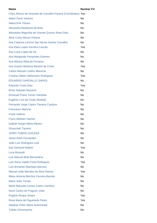| <b>Name</b>                                                   | <b>Nuclear CV</b> |
|---------------------------------------------------------------|-------------------|
| Clara Afonso de Azevedo de Carvalho Piçarra (Coordinator) Yes |                   |
| <b>Albert Farré Ventura</b>                                   | No                |
| Aleksi Erik Ylönen                                            | <b>No</b>         |
| Alexandra Barahona de Brito                                   | No                |
| Alexandra Magnólia de Vicente Quirino Alves Dias              | <b>No</b>         |
| Aline Carla Afonso Pereira                                    | No                |
| Ana Catarina Larcher das Neves Santos Carvalho                | No                |
| Ana Elisa Lopes Ferreira Cascão                               | Yes               |
| Ana Lucia Lopes de Sa                                         | No                |
| Ana Margarida Fernandes Esteves                               | No                |
| Ana Mónica Rôla da Fonseca                                    | No                |
| Ana Soares Barbosa Bénard da Costa                            | Yes               |
| <b>Carlos Manuel Coelho Maurício</b>                          | No                |
| Cristina Odete Udelsmann Rodrigues                            | Yes               |
| <b>EDUARDO GARGALLO SARIOL</b>                                | No                |
| <b>Eduardo Costa Dias</b>                                     | Yes               |
| Elísio Salvado Macamo                                         | No                |
| <b>Emanuel Freire Torres Gamelas</b>                          | No                |
| Eugénio Luís da Costa Almeida                                 | No                |
| Fernando Jorge Castro Teixeira Cardoso                        | No                |
| <b>Francesco Marone</b>                                       | No                |
| <b>Frank Vollmer</b>                                          | No                |
| Franz-Wilhelm Heimer                                          | No                |
| <b>Gabriel Sergio Mitha Ribeiro</b>                           | No                |
| <b>Ghoncheh Tazmini</b>                                       | No                |
| <b>JORDI TOMAS GUILERA</b>                                    | No                |
| <b>Jason Keith Fernandes</b>                                  | No                |
| João Luís Rodrigues Leal                                      | <b>No</b>         |
| <b>Karl Gerhard Seibert</b>                                   | Yes               |
| Luca Bussotti                                                 | No                |
| Luis Manuel Brás Bernardino                                   | No                |
| Luís Nuno Valdez Faria Rodrigues                              | Yes               |
| Luís fernando Machado Barroso                                 | No                |
| Manuel João Mendes da Silva Ramos                             | Yes               |
| Maria Antonia Belchior Ferreira Barreto                       | No                |
| Maria João Tomás                                              | No                |
| Maria Manuela Lemos Castro Cardoso                            | No                |
| Nuno Carlos de Fragoso Vidal                                  | No                |
| Rogério Roque Amaro                                           | Yes               |
| Rosa Maria de Figueiredo Perez                                | Yes               |
| <b>Stephan Peter Maria Duennwald</b>                          | No                |
| <b>Tobias Schumacher</b>                                      | No                |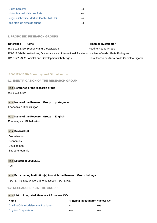| <b>Ulrich Schiefer</b>                   | N٥ |
|------------------------------------------|----|
| Victor Manuel Vaia dos Reis              | No |
| Virginie Christine Martine Gaelle TALLIO | N٥ |
| ana stela de almeida cunha               | N٥ |

#### **9. PROPOSED RESEARCH GROUPS**

| Reference | <b>Name</b>                                                                                        | <b>Principal Investigator</b>               |
|-----------|----------------------------------------------------------------------------------------------------|---------------------------------------------|
|           | RG-3122-1320 Economy and Globalisation                                                             | Rogério Roque Amaro                         |
|           | RG-3122-1474 Institutions, Governance and International Relations Luís Nuno Valdez Faria Rodrigues |                                             |
|           | RG-3122-2382 Societal and Development Challenges                                                   | Clara Afonso de Azevedo de Carvalho Piçarra |

## **(RG-3122-1320) Economy and Globalisation**

#### **9.1. IDENTIFICATION OF THE RESEARCH GROUP**

**9.1.1 Reference of the research group**

RG-3122-1320

## **9.1.2 Name of the Research Group in portuguese**

Economia e Globalização

#### **9.1.3 Name of the Research Group in English**

Economy and Globalisation

#### **9.1.4 Keyword(s)**

Globalisation Economics Development

Entrepreneurship

#### **9.1.5 Existed in 2008/2012**

Yes

#### **9.1.6 Participating Institution(s) to which the Research Group belongs**

ISCTE - Instituto Universitário de Lisboa (ISCTE-IUL)

#### **9.2. RESEARCHERS IN THE GROUP**

#### **9.2.1 List of Integrated Members / 3 nuclear CVs**

| <b>Name</b>                        | <b>Principal Investigator Nuclear CV</b> |      |  |  |
|------------------------------------|------------------------------------------|------|--|--|
| Cristina Odete Udelsmann Rodrigues | No                                       | Yes. |  |  |
| Rogério Roque Amaro                | Yes                                      | Yes  |  |  |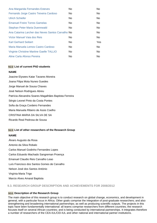| Ana Margarida Fernandes Esteves                   | No. | No  |
|---------------------------------------------------|-----|-----|
| Fernando Jorge Castro Teixeira Cardoso            | No. | No. |
| <b>Ulrich Schiefer</b>                            | No. | No. |
| <b>Emanuel Freire Torres Gamelas</b>              | No. | No. |
| Stephan Peter Maria Duennwald                     | No. | No. |
| Ana Catarina Larcher das Neves Santos Carvalho No |     | No. |
| Victor Manuel Vaia dos Reis                       | No. | No. |
| <b>Karl Gerhard Seibert</b>                       | No. | Yes |
| Maria Manuela Lemos Castro Cardoso                | No. | No. |
| Virginie Christine Martine Gaelle TALLIO          | No. | No. |
| Aline Carla Afonso Pereira                        | No  | No. |

#### **9.2.2 List of current PhD students**

#### **NAME**

Joacine Elysees Katar Tavares Moreira Joana Filipa Mota Nunes Guedes Jorge Manuel de Sousa Chaves José Nelson Rodrigues Abreu Patrícia Alexandra Soares Magalhães Baptista Ferreira Sérgio Leonel Pinto da Costa Pontes Sofia da Graça Cordeiro Fernandes

Maria Manuela Ribeiro de Assis Coelho

CRISTINA MARIA DA SILVA DE SA

Ricardo Real Pedrosa de Sousa

#### **9.2.3 List of other researchers of the Research Group**

#### **NAME**

Álvaro Augusto da Rosa Antonio da Silva Robalo Carlos Manuel Godinho Fernandes Lopes Carlos Eduardo Machado Sangreman Proença Emanuel Claudio Reis Carvalho Leao Luís Francisco dos Santos Gomes de Carvalho Nelson José dos Santos António Virgínia Maria Trigo Marcio Alves Amaral Baptista

#### **9.3. RESEARCH GROUP DESCRIPTION AND ACHIEVEMENTS FOR 2008/2012**

## **9.3.1 Description of the Research Group**

The main objective of this research group is to conduct research on global change, economics, and development in general, with a particular focus in Africa. Other goals comprise the integration of post-graduate researchers; and also strengthening and broadening international partnerships; as well as producing scientific outputs. The projects in this topic have been fundamentally international: all teams comprise researchers from different countries; the research focuses itself on several African countries; and is being conducted by international partnerships. It integrates therefore a number of researchers of the CEA-IUL/CEI-IUL and other national and international partner institutions.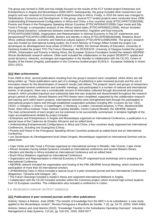The group was formed in 2005 and has initially focused on the results of the FCT funded project Enterprises and Entrepreneurs in Angola and Mozambique (2005-2007). Subsequently, the group included other researchers and projects and was renamed to Economics and Entrepreneurship in Africa. Finally, in 2010 the name was changed to Globalisation, Economics and Development. In this group, several FCT funded projects were conducted since 2008: Understanding Entrepreneurial Configurations in Africa and China: a four countries study (PTDC/AFR/72258/2006); Poverty and Peace in the Portuguese Speaking African Countries (PTDC/AFR/64207/2006) Cape Verde and São Tomé e Príncipe: a comparative analysis of two African island states (PTDC/AFR/66521/2006), African Societies Facing Global Dynamics: turbulences between external intervention, migration and food insecurity (PTDC/AFR/104597/2008), Organization and Representation in Informal Economy in PALOP: experiences and perspectives(PTDC/AFR/113992/2009), Borders and Identity in Africa (PTDC/AFR/98339/2008), Relations Brazil - Africa: political-strategic, economic and historical-cultural aspects (PTDC/AFR/110095/2009). The group's research was also funded by international funding bodies: the French Ministry of Foreign Affairs funded the project Les dynamiques du développement local urbain (CORUS2, nº 6065); the German Ministry of Education, University of Hamburg funded the project TFO-The Future Okavango; the DFID/ESCR, University of Glasgow funded the project UPIMA, Urbanization and Poverty in Mining Africa; the European Science Foundation funded the network ABORNE - African Borderlands research network. Other work included the collaboration on the project DESERTO: spatial and social dynamics, networks, exchanges and organisation in the Namibe in collaboration with the CE.DO, Centre of Studies of the Desert (Angola); participation in the Comenius funded project EUSOLA - European Solidarity in Action (2011-2012).

#### **9.3.2 Main achievements**

From 2008 to 2012, several publications resulting from the group's research were completed, whilst others are still being written up. These publications were part of a strategy of publishing in peer-reviewed journals and the use of innovative means for the dissemination of research results (see below). The projects' teams and groups of researchers also organised several conferences and scientific meetings, and participated in a number of national and international events. In all projects, there was a considerable amount of information collected through documental and empirical research, which provided important and substantial data that was analysed and disseminated throughout the research group's period of activity. Several Masters and PhD theses were completed, supported by the collaborative research and tutoring work within team's projects. International networks were strengthened both through the participation in international project's teams and through established cooperation activities including IRD, Cruzeiro do Sul, CEIC, CEDO, U Glasgow, U Ghana, U Copenhagen, U Hamburg, U Leiden, Unicamp/Campinas, U Pres. Mackenzie/São Paulo, West Africa Institute, Praia; Instituto Camões Mindelo, Centro Cultural Mindelo; the ABORNE network. The main achievements of each project are too extensive to be successfully summarised. A tentative highlight of the major accomplishments divided by project includes:

• Enterprises and Entrepreneurs in Angola and Mozambique organised an International Conference, a publication in a special issue of the Cadernos de Estudos Africanos and an edited book.

• Understanding Entrepreneurial Configurations in Africa and China: a four countries study organised two International Conferences, including one Guangzhou (China).

• Poverty and Peace in the Portuguese Speaking African Countries produced an edited book and an International Conference.

• Les Dynamiques du Développement local Urbain (Angola, Mozambique) organised an International Seminar and an edited book.

- Cape Verde and São Tomé e Príncipe organised an international seminar in Mindelo, São Vicente, Cape Verde.
- African Societies Facing Global Dynamics included an International conference and several Masters theses.
- Borders and Identity in Africa included an International Conference and an edited book;
- Brazil-Africa Relations organised an International Conference.

• Organization and Representation in Informal Economy in PALOP organised local workshops and is preparing an International Conference.

• ABORNE network included the organisation and hosting of the Fifth ABORNE Annual Meeting, which involved the participation of more than 50 international scholars.

• UPIMA/Mining Cities in Africa included a special issue in a peer-reviewed journal and two International Conferences (Bagamoyo, Tanzania and Glasgow, UK).

• The Future Okavango included a master's thesis and supported international fieldwork in Angola.

• Collaboration with the CE.DO included activities within the Comenius project, which involved high-school students from 15 European countries. This collaboration also included a conference in Lisbon.

#### **9.4. RESEARCH GROUP OUTPUT 2008/2012**

#### **9.4.1 Publications in peer reviewed journals and/or other publications**

António, Nelson & Martins, José (2008) "The transfer of knowledge from the MNC's to its subsidiaries: a case study applied to the Mozambique context", Revista Portuguesa e Brasileira de Gestão, 7 (3), pp. 54-70. (ISSN: 1645-4464) António, Nelson and José Martins (2010), "Knowledge Transfer to the Subsidiaries Operating Overseas", Industrial Management & Data Systems, 110 (4), pp. 516-531. ISSN: 0263-5577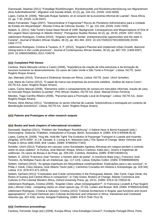Duennwald, Stephan (2011) "Freiwillige Rückführungen. Rückkehrpolitik und Rückkehrunterstützung von MigrantInnen ohne Aufenthaltsrechte", Migration und Soziale Arbeit, 33 (2), pp. 144-151. (ISSN: 1432-6000)

Lopes, Carlos M. (2008), "Mercado Roque Santeiro: en el corazón de la economia informal de Luanda", Nova Africa, 22, pp. 7-30. (ISSN: 1136-0437)

Matos Fernandes, Tiago (2007), "Descentralizar é Fragmentar? Riscos do Pluralismo Administrativo para a Unidade do Estado em Moçambique", Revista Crítica de Ciências Sociais, 77, pp. 151-164. (ISSN: 2182-7435)

Seibert, G. (2011) "São Tomé's Great Slave Revolt of 1595: Background, Consequences and Misperceptions of One of the Largest Slave Uprisings in Atlantic History". Portuguese Studies Review 18 (2), pp. 29-50. (ISSN: 1057-1515) Udelsmann Rodrigues, Cristina (2010), "Angola's southern border: entrepreneurship opportunities and the state in Cunene", Journal of Modern African Studies, 48 (3), pp. 461-484. (DOI: 10.1017/S0022278X10000339) (ISSN: 1469-7777)

Udelsmann Rodrigues, Cristina & Tavares, A. P. (2012), "Angola's Planned and Unplanned Urban Growth: diamond mining towns in the Lunda provinces", Journal of Contemporary African Studies, 30 (4), pp. 687-703. (1469-9397) (DOI: 10.1080/02589001.2012.724874)

#### **9.4.2 Completed PhD theses**

Cardoso, Maria Manuela Lemos e Castro (2008), "Importância da criação de infra-estruturas e da formação de recursos humanos no desenvolvimento: Os casos de Cabo Verde e São Tomé e Príncipe". Lisboa: ISCTE. (tutor: Rogério Roque Amaro)

Jao, Mamadú (2010), "Estrutura e Dinâmicas Sociais em África, Lisboa: ISCTE. (tutor: Ulrich Schiefer).

Leal, Maria do Carmo (2012), "O papel da marca nas empresas da economia solidária - Análise da marca Cores", ISCTE-IUL (tutor: Rogério Roque Amaro)

Lopes, Carlos Manuel (2008), "Elementos sobre o comportamento de compra em mercados informais: estudo de caso no mercado Roque Santeiro (Luanda)", PhD African Studies, ISCTE-IUL (tutor: Manuel Ennes Ferreira)

Mendes, Tiago Carrilho Ribeiro (2008), "Parcerias para a Promoção Local do Emprego". Lisboa: ISCTE-IUL. (tutor: Rogério Roque Amaro)

Pereira, Aline Afonso (2011), "Vendedoras no sector informal de Luanda: Sobrevivência e entreajuda em contexto de liberalização económica", Lisboa, ISCTE-IUL. (tutor: Rogério Roque Amaro)

#### **9.4.3 Patents and Prototypes or other research outputs**

#### **9.4.4 Books and book chapters of international circulation**

Dünnwald, Stephan (2011), "Politiken der 'freiwilligen' Rückführung", iI Sabine Hess & Bernd Kasparek (eds.) Grenzregime. Diskurse, Praktiken, Institutionen in Europa, Berlin: Assoziation A. (ISBN: 978-3-935936-82-8)

Lopes, Carlos M. (2009), "Hug Me, Hold Me Tight! The Evolution of Passenger Transport in Luanda and Huambo (Angola), 1975-2000", In J.B. Gewald, S. Luning & K. Walraven (eds.) The Speed of Change: Motor Vehicles and People in Africa 1890-2000, Brill: Leiden. (ISBN: 9789004177352)

Schiefer, Ulrich (2012) "Falhanço em cascata: como Sociedades Agrárias Africanas em colapso perdem o controlo sobre os seus cadetes", In Pureza, José Manuel; Roque, Sílvia e Cardoso; Katia (ed.), Jovens e trajetórias de violências. Os casos de Bissau e da Praia, pp. 209-240. Coimbra: Almedina. (ISBN: 9789724048215)

Seibert, G. (2010) "Francisco José Tenreiro: o homem além do poeta", In Inocência Mata (org.), Francisco José Tenreiro. As Múltiplas Faces de um Intelectual, (pp. 117-143). Lisboa: Edições Colibri. (ISBN: 9789896890605)

Seibert, Gerhard (2010), "As igrejas espirituais em Moçambique contemporâneo. Explicações para o seu sucesso", In Philip J. Havik, Clara Saraiva, José Alberto Tavim (eds.), Caminhos Cruzados em História e Antropologia, pp. 329-340, Lisboa: ICS. (978-972-671-259-6)

Seibert, Gerhard (2012) "Creolization and Creole communities in the Portuguese Atlantic. São Tomé, Cape Verde, the Rivers of Guinea and Central Africa in comparison", in Toby Green, Brokers of Change: Atlantic Commerce and Cultures in Pre-Colonial Western Africa, Oxford University Press, pp. 29-51. (ISBN: 978-0-19-726520-8)

Udelsmann Rodrigues, Cristina (2009), "Angolan Cities: urban (re)segregation?", In Francesca Locatelli & Paul Nugent (eds.) African Cities : competing claims on urban spaces (pp. 37-53). Leiden and Boston: Brill. (ISBN: 9789004162648)

Udelsmann Rodrigues, Cristina & Salvador, Cristina (2012) "Colonial Architecture in Angola: past functions and recent appropriations", In Fassil Demissie (ed.) Colonial Architecture and Urbanism in Africa: Intertwined and Contested Histories (pp. 407-426). Surrey: Ashgate Publishing. (ISBN: 978-0-7546-7512-9)

#### **9.4.5 Conference proceedings**

Cardoso, Fernando Jorge (ed.) (2008), Europa-África: Uma Estratégia Comum?, Fundação Portugal-África, Porto.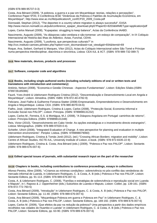#### (ISBN 978-989-95737-0-3)

Costa, Ana Bénard (2009), "A pobreza, a guerra e a paz em Moçambique: teorias, relações e percepções", Conference Paper Nº20, II Conferência IESE "Dinâmicas da Pobreza e Padrões de Acumulação Económica, em Moçambique", http://www.iese.ac.mz/lib/publication/II\_conf/CP20\_2009\_Costa.pdf

Dünnwald, Stephan (2012), "The deportee in a country where migration is always successful", EASA http://www.mecon.nomadit.co.uk/pub/conference\_epaper\_download.php5?PaperID=8203&MIMEType=application/pdf

Lopes, Carlos Manuel (2008), "Kupapatas: struggling to keep balance", Actas da Conferência IAABD.

Nascimento, Augusto (2009), "As diásporas cabo-verdiana e são-tomense: um esboço de comparação", In IX Colóquio Internacional de História das Ilhas do Atlântico. Actas, Funchal, CEHA.

Nascimento, Augusto (2009), "Lusofonia, que perspectivas culturais?" in

http://cvc.instituto-camoes.pt/index.php?option=com\_docman&task=cat\_view&gid=934&Itemid=69

Roque, Ana, Seibert, Gerhard & Marques, Vítor (2012), Actas do Colóquio Internacional sobre São Tomé e Príncipe numa perspectiva interdisciplinar, diacrónica e sincrónica, Lisboa: CEA-IUL & IICT. (ISBN: 978-989-732-089-7)

#### **9.4.6 New materials, devices, products and processes**

#### **9.4.7 Software, computer code and algorithms**

#### **9.4.8 Books, including single-authored works (including scholarly editions of oral or written texts and translations with introduction and commentary)**

António, Nelson (2008), "Economia e Gestão Chinesas - Aspectos Fundamentais", Lisbon: Edições Sílabo.(ISBN: 9789726185086)

Fauré, Yves-André & Udelsmann Rodrigues Cristina (2012), "Descentralização e Desenvolvimento Local em Angola e Moçambique", Lisbon: Almedina. (ISBN: ISBN: 978-972-40-4782-9)

Feliciano, José Fialho & Guilherme Fonseca-Statter (2008) Empresariado, Empreendedorismo e Desenvolvimento em Angola e Moçambique. Lisboa: CEA. (ISBN: 978-989-8079-04-6)

Fialho, José, Udelsmann Rodrigues, Cristina & Lopes, Carlos (2008), "Protecção Social, Economia Informal e Exclusão Social nos PALOP", Lisbon: Principia. (ISBN: 9789898131232)

Lopes, Carlos M., Ferreira, E.S. & Mortágua, M.J. (2008), "A Diáspora Angolana em Portugal: caminhos de retorno", Lisbon: Princípia Editora. (ISBN: 9789898131348)

Reis, Victor (2010), "Desenvolvimento em Cabo Verde: As opções estratégicas e o investimento directo estrangeiro", Lisboa: Mimographus. (ISBN: 978-989-97020-0-4).

Schiefer, Ulrich (2008), "Integrated Evaluation of Change. A new perspective for planning and evaluation in multiple intervention environments". Periploi: Lisboa. (ISBN: 9789898079060)

Udelsmann Rodrigues, Cristina & Tomàs Jordi (2012), (ed.) "Crossing African Borders: migration and mobility", Lisbon: Centre of African Studies, ISCTE-IUL, University Institute of Lisbon, e-book. (ISBN: 978-972-8335-22-9)

Udelsmann Rodrigues, Cristina &. Costa, Ana Bénard (eds.) (2009), "Pobreza e Paz nos PALOP", Lisbon: Sextante. (ISBN: 978-989-676-007-6)

#### **9.4.9 Edited special issues of journals, with substantial research input on the part of the researcher**

#### **9.4.10 Chapters in books, including contributions to conference proceedings, essays in collections**

Afonso Pereira, Aline (2009), "«Criamos as mínimas condições»: sobrevivência no pós-conflito das vendedoras do mercado informal de Luanda, in Udelsmann Rodrigues, C. & Costa, A. B (eds.) Pobreza e Paz nos PALOP, Lisbon: Sextante Editora, pp. 91-113. (ISBN: 978-989-676-007-6)

Costa, A. & Udelsmann Rodrigues, C. (2008), "Famílias e estratégias de sobrevivência e reprodução social em Luanda e Maputo", in I. Raposo & J. Oppenheimer (eds.) Subúrbios de Luanda e Maputo, Lisbon: Colibri, pp. 139-161. (ISBN: 978-972-772-760-5)

Costa, Ana Bénard (2009), "Introdução" in Udelsmann Rodrigues, C. & Costa, A. B (eds.) Pobreza e Paz nos PALOP, Lisbon: Sextante Editora, pp. 11-40. (ISBN: 978-989-676-007-6)

Costa, Ana Bénard (2009), "Moçambique Pobreza em guerra e Pobreza em Paz" in Udelsmann Rodrigues, C. & Costa, A. B (eds.) Pobreza e Paz nos PALOP, Lisbon: Sextante Editora, pp. 169-192. (ISBN: 978-989-676-007-6)

Lopes, Carlos M. (2009), "Que efeitos da paz na redução da pobreza? Uma perspectiva a partir dos dados empíricos recolhidos nas cidades do Huambo e Luanda" in Udelsmann Rodrigues, C. & Costa, A. B (eds.) Pobreza e Paz nos PALOP, Lisbon: Sextante Editora, pp. 63-90. (ISBN: 978-989-676-007-6)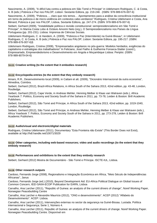Nascimento, A. (2009), "A difícil luta contra a pobreza em São Tomé e Príncipe" in Udelsmann Rodrigues, C. & Costa, A. B (eds.) Pobreza e Paz nos PALOP, Lisbon: Sextante Editora, pp. 219-246 . (ISBN: 978-989-676-007-6)

Nascimento, A. (2009), "Pobreza…, claro que nós temos… Apontamentos para a análise da consciência institucional em torno da pobreza e de micro-violência em contextos cabo-verdianos" Rodrigues, Cristina Udelsmann e Costa, Ana Bénard, Pobreza e paz nos PALOP, Lisboa, Sextante Editora, pp. 247-274. (ISBN: 978-989-676-007-6)

Seibert, Gerhard (2009), "Instabilidade política e revisão constitucional: semipresidencialismo em São Tomé e Príncipe", In Marina Costa Lobo & Octávio Amorim Neto (org.), O Semipresidencialismo nos Países da Língua Portuguesa (pp. 201-231). Lisboa: Imprensa de Ciências Sociais.

Udelsmann Rodrigues, C. & Handem, A. (2009), "Pobreza e Paz (Intermitente) na Guiné-Bissau", in Udelsmann Rodrigues, C. & Costa, A. B (eds.) Pobreza e Paz nos PALOP, Lisbon: Sextante Editora, pp. 195-217. (ISBN: 978-989-676-007-6)§

Udelsmann Rodrigues, Cristina (2008), "Empresariados angolanos no pós-guerra: Modelos herdados, exigências do capitalismo e estratégias dos trabalhadores" In Feliciano, José Fialho & Guilherme Fonseca-Statter (coord.), Empresariado, Empreendedorismo e Desenvolvimento em Angola e Moçambique Lisboa: Periploi. (ISBN: 978-989-8079-04-6)

#### **9.4.11 Creative writing (to the extent that it embodies research)**

#### **9.4.12 Encyclopedia entries (to the extent that they embody research)**

Amaro, R.R., Desenvolvimento local (2009), in Cattani et alt. (2009), "Dicionário Internacional da outra economia", Almedina, Coimbra.

Seibert, Gerhard (2012), Brazil-Africa Relations, in Africa South of the Sahara 2013, 42nd edition, pp. 43-48, London, Routledge.

Seibert, Gerhard (2012), Cape Verde, in Andreas Mehler, Henning Melber & Klaas van Walraven (eds.), Africa Yearbook 7: Politics, Economy and Society South of the Sahara in 2011, pp. 73-78, Leiden & Boston: Brill Academic Publishers.

Seibert, Gerhard (2012), São Tomé and Príncipe, in Africa South of the Sahara 2013, 42nd edition, pp. 1019-1040, London, Routledge.

Seibert, Gerhard (2012), São Tomé and Príncipe, in Andreas Mehler, Henning Melber & Klaas van Walraven (eds.), Africa Yearbook 7: Politics, Economy and Society South of the Sahara in 2011, pp. 273-278, Leiden & Boston: Brill Academic Publishers.

#### **9.4.13 Audio/visual and electronic/digital materials**

Rodrigues, Cristina Udelsmann (2011), Documentary "Esta Fronteira não Existe" (This Border Does not Exist), available at http://hdl.handle.net/10071/3029

#### **9.4.14 Other categories, including web-based resources; video and audio recordings (to the extent that they embody research)**

#### **9.4.15 Performances and exhibitions to the extent that they embody research**

Seibert, Gerhard (2012) Mostra de Documentário - São Tomé e Príncipe. ISCTE-IUL, Lisboa.

#### **9.4.16 Other research outputs**

Cardoso, Fernando Jorge (2008), Regionalismo e Integração Económica em África, "Meio Século de Independências Africanas", Janus

Cardoso, Fernando Jorge (ed.) (2010), Beyond Development Aid: EU-Africa Political Dialogue on Global Issues of Common Concern, IEEI-SAIIA-ECDP Publication for EARN, Lisboa

Carvalho, Ana Larcher (2011), "Republic of Guinea: an analysis of the current drivers of change", Noref Working Paper, Norwegian Peacebuilding Centre

Carvalho, Ana Larcher e Alexandre Maurício (2012), "ONG e desenvolvimento". ACEP (2012) "Alfabeto do Desenvolvimento". ACEP: Lisboa.

Carvalho, Ana Larcher (2011), Intervenções externas no sector da segurança na Guiné-Bissau. Lusíada. Política internacional e Segurança; Serie 1, Número 4.

Carvalho, Ana Larcher (2011), Republic of Guinea: an analysis of the current drivers of change. Noref Working Paper. Norwegian Peacebuilding Centre. Disponível em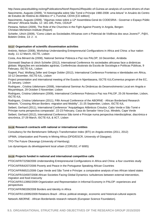http://www.peacebuilding.no/eng/Publications/Noref-Reports2/Republic-of-Guinea-an-analysis-of-current-drivers-of-change Nascimento, Augusto (2009), "A historiografia sobre São Tomé e Príncipe 1980-2008: uma leitura" in Anuário do Centro de Estudos de História do Atlântico nº 1, Funchal, CEHA [CD edition]

Nascimento, Augusto (2009), "Algumas notas sobre a 12ª Assembleia-Geral do CODESRIA - Governar o Espaço Públic Africano" Africana Studia, 12: 181-185, Porto, CEAUP

Pestana, Nelson (2009), The Role of the Churches in the Fight Against Poverty in Angola, Bergen: Christian-Michelson-Institute (Report)

Schiefer, Ulrich (2009), "Como Lidam as Sociedades Africanas com o Potencial de Violência dos seus Jovens?", P@X, Boletim Online, 13: 2 - 4.

#### **9.4.17 Organisation of scientific dissemination activities**

António, Nelson (2008), Workshop Understanding Entrepreneurial Configurations in Africa and China: a four nation study, 11-12 March, ISCTE, Lisbon

Costa, Ana Bénard da (2008), National Seminar Pobreza e Paz nos PALOP; 16 December, Arrábida

Dünnwald Stephan & Ulrich Schiefer (2012), International Conference As sociedades africanas face a dinâmicas globais: Migrações em sociedades agrárias, Conferências doutorais da Escola de Sociologia e Políticas Públicas, 9 February, ISCTE-IUL, Lisbon

Nugent, Paul, Wolfang Zeller and Gregor Dobler (2012), International Conference Fronteiras e Identidades em África, 10-12 December, ISCTE-IUL, Lisbon

Project presentation and international meeting of the Eusola in Njambasana, ISCTE-IUL/Comenius program of the EC, 13 January, Lisbon

Rodrigues , Cristina Udelsmann (2008), International Seminar As Dinâmicas do Desenvolvimento Local em Angola e Moçambique, 29 October-3 November; Lisbon

Rodrigues, Cristina Udelsmann (2009), International Conference Pobreza e Paz nos PALOP, 25-26 November, Lisbon, ISCTE-IUL

Rodrigues, Cristina Udelsmann (2011), Fifth Annual Conference of the ABORNE - African Borderland Research Network, "Crossing African Borders: migration and Mobility", 21-25 September, Lisbon, ISCTE-IUL

Seibert, Gerhard (2011), International Conference "Arquipélagos Atlânticos Crioulos. Cabo Verde e São Tomé e Príncipe numa perspectiva comparada", 22-23 February, Casa do Senador Vera-Cruz, Mindelo, Cape Verde Seibert, Gerhard (2012), International Conference São tomé e Príncipe numa perspectiva interdisciplinar, diacrónica e

sincrónica, 27-29 March, ISCTE-IUL & IICT, Lisbon

#### **9.4.18 Research contracts with national or international entities**

Consultancy for the Bertelsmann Stiftung's Transformation Index (BTI) on Angola entries (2011, 2012)

UPIMA, Urbanization and Poverty in Mining Africa (DFID/ESCR, University of Glasgow);

TFO-The Future Okavango (University of Hamburg);

Les dynamiques du développement local urbain (CORUS2, nº 6065)

#### **9.4.19 Projects funded in national and international competitive calls**

PTDC/AFR/72258/2006 Understanding Entrepreneurial Configurations in Africa and China: a four countries study

PTDC/AFR/64207/2006 Poverty and Peace in the Portuguese Speaking African Countries

PTDC/AFR/66521/2006 Cape Verde and São Tomé e Príncipe: a comparative analysis of two African island states PTDC/AFR/104597/2008 African Societies Facing Global Dynamics: turbulences between external intervention, migration and food insecurity

PTDC/AFR/113992/2009 Organization and Representation in Informal Economy in PALOP: experiences and perspectives

PTDC/AFR/98339/2008 Borders and Identity in Africa

PTDC/AFR/110095/2009 Relations Brazil - Africa: political-strategic, economic and historical-cultural aspects

Network ABORNE - African Borderlands research network (European Science Foundation).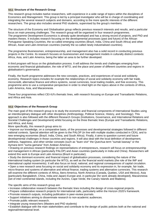#### **9.5.1 Structure of the Research Group**

This research group includes twelve researchers, with experience in a wide range of topics within the disciplines of Economics and Management. This group is led by a principal investigator who will be in charge of coordinating and integrating the several research subjects and domains, according to the more specific interests of the different researchers. The group also includes several PhD students, supervised by the group's members.

The structure of the Economy and Globalisation group reflects previous research interests and results, and a particular focus on main pressing challenges. The research group will be organised in four research programmes. The programme Development Economics is already quite developed and has a strong record of projects, and PhD and masters theses. It includes research focusing on the developmental processes (past and future) of the African Portuguese Speaking Countries, the so-called emerging countries (Brazil, India, China and South Africa) and other African, Asian and Latin-American countries (namely the so-called newly industrialised countries).

The programme Businessmen, entrepreneurship, and management also has a solid record in conducting previous projects in the Centre. Its research focuses on businessmen and management models in culturally distinct contexts: Africa, Asia, and Latin America, being the latter an area to be further developed.

A third program will focus on the globalisation process. It will address the trends and challenges emerging from economic and financial globalisation, the role of WTO, and the place and power of different countries and regions in globalisation's governance.

Finally, the fourth programme addresses the new concepts, practices, and experiences of social and solidarity economy. Research topics includes for example the relationships of social and solidarity economy with fair trade, microcredit, alternative finance and ethics systems, social currencies, local trading models, and free economy. This programme aims to use a comparative perspective in order to shed light on the topics above in the contexts of Africa, Latin America, Asia, and Macaronesia.

These four programmes reflect CEI-IUl's thematic lines, with research focusing on Europe and Transatlantic Relations, and Africa and Asia.

#### **9.5.2 Objectives of the Research Group**

The main goal of this research group is to study the economic and financial components of International Studies using an interdisciplinary dialogue with other disciplines (Anthropology, Political Science, History, and Sociology). This approach is also followed with the different Research Groups (Institutions, Governance, and International Relations and Societal Challenges and Development) whilst focusing on the three thematic lines (Europe and Transatlantic Relations, and Africa, and Asia).

More specifically, this research group aims to:

• Improve our knowledge, on a comparative basis, of the processes and developmental strategies followed in different national contexts. Special attention will be given to the PALOP (in line with multiple studies conducted in CEA), and to new emerging economies (Brazil, India, China, and South Africa). Finally, it aims to question current and future developmental challenges in those countries and regions. It will also deal with the local definition of development, wellness, happiness, and other similar concepts (such as "buen vivir" the Quechua term "sumak kawsay" or the Aymara term "suma gamana" from Andean America).

• Drawing on previous research findings on representations of entrepreneurs, research will focus on entrepreneurship and management in African (particularly PALOP) and Asian countries (particularly in India and China). Researchers will extend this work to Europe and Latin America (Brazil in particular);

• Study the dominant economic and financial impact of globalisation processes, considering the nature of the international trading system (in particular the WTO), as well as the financial world markets (the role of the IMF and international capital movements). It will also focus on local, national, and regional consequences of capital circulation. • Open a new research area focusing on social and solidarity economy and its expression in, for example, fair trade, micro-finance and systems of alternative and ethical finance, trading systems and alternative currencies. This research will examine the different contexts of Africa, Ibero-America, North America (Canada, Quebec, USA and Mexico), Asia (particularly Bangladesh, China, India and Japan) Europe and, in particular (for work already developed), Macaronesia (set of inter-continental islands, including the Azores, Cape Verde, the Canary Islands and Madeira).

The specific aims of this research group are:

- Increase collaborative research between the thematic lines including the design of cross-regional projects.
- Prepare collaborative research projects for international calls, particularly within the Horizon 2020's framework.
- Promote research outputs, including publication in peer-review journals.
- Support initiatives aiming to disseminate research to non-academic audiences.
- Promote public relevant research.
- Integrate young researchers (Masters and PhD students)

• Establish dialogue with the main stakeholders and contribute to the design of public policies both at the national and regional/international level.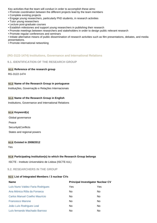Key activities that the team will conduct in order to accomplish these aims:

- Promote coordination between the different projects lead by the team members
- Complete existing projects
- Engage young researchers, particularly PhD students, in research activities
- Tutor young researchers
- Lecture post-graduate courses
- Establish milestones and support young researchers in publishing their research
- Promote meetings between researchers and stakeholders in order to design public relevant research
- Promote regular conferences and seminars

• Initiate alternative means of public dissemination of research activities such as film presentations, debates, and media presentations.

• Promote international networking

#### **(RG-3122-1474) Institutions, Governance and International Relations**

#### **9.1. IDENTIFICATION OF THE RESEARCH GROUP**

#### **9.1.1 Reference of the research group**

RG-3122-1474

#### **9.1.2 Name of the Research Group in portuguese**

Instituições, Governação e Relações Internacionais

#### **9.1.3 Name of the Research Group in English**

Institutions, Governance and International Relations

#### **9.1.4 Keyword(s)**

Global governance Peace Security&Conflicts States and regional powers

#### **9.1.5 Existed in 2008/2012**

Yes

#### **9.1.6 Participating Institution(s) to which the Research Group belongs**

ISCTE - Instituto Universitário de Lisboa (ISCTE-IUL)

**9.2. RESEARCHERS IN THE GROUP**

#### **9.2.1 List of Integrated Members / 3 nuclear CVs**

| <b>Name</b>                          |                | <b>Principal Investigator Nuclear CV</b> |
|--------------------------------------|----------------|------------------------------------------|
| Luís Nuno Valdez Faria Rodrigues     | Yes            | Yes                                      |
| Ana Mónica Rôla da Fonseca           | No.            | No                                       |
| <b>Carlos Manuel Coelho Maurício</b> | No.            | No.                                      |
| <b>Francesco Marone</b>              | No.            | No                                       |
| João Luís Rodrigues Leal             | N <sub>0</sub> | No.                                      |
| Luís fernando Machado Barroso        | No             | No                                       |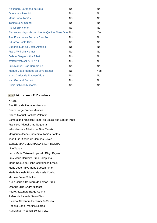| Alexandra Barahona de Brito                         | No  | No         |
|-----------------------------------------------------|-----|------------|
| <b>Ghoncheh Tazmini</b>                             | No. | No         |
| Maria João Tomás                                    | No. | No.        |
| <b>Tobias Schumacher</b>                            | No. | No.        |
| Aleksi Erik Ylönen                                  | No. | No.        |
| Alexandra Magnólia de Vicente Quirino Alves Dias No |     | <b>Yes</b> |
| Ana Elisa Lopes Ferreira Cascão                     | No. | No.        |
| <b>Eduardo Costa Dias</b>                           | No  | No.        |
| Eugénio Luís da Costa Almeida                       | No. | No.        |
| <b>Franz-Wilhelm Heimer</b>                         | No. | No.        |
| <b>Gabriel Sergio Mitha Ribeiro</b>                 | No  | No.        |
| <b>JORDI TOMAS GUILERA</b>                          | No  | No         |
| Luis Manuel Brás Bernardino                         | No  | No.        |
| Manuel João Mendes da Silva Ramos                   | No. | <b>Yes</b> |
| Nuno Carlos de Fragoso Vidal                        | No. | No.        |
| <b>Karl Gerhard Seibert</b>                         | No. | No         |
| Elísio Salvado Macamo                               | No  | No.        |

#### **9.2.2 List of current PhD students**

#### **NAME**

Ana Filipa da Piedade Mauricio Carlos Jorge Branco Mendes Carlos Manuel Baptista Valentim Esmeralda Francisca Neutel de Sousa dos Santos Pinto Francisco Miguel Lima Nogueira Inês Marques Ribeiro da Silva Casais Margarida Joana Quaresma Tomás Pontes João Luís Ribeiro de Campos Neves JORGE MANUEL LIMA DA SILVA ROCHA Lino Tanga Lúcia Maria Teixeira Lopes do Rêgo Bayan Luís Mário Cordeiro Pires Carapinha Maria Roque de Pinho Carvalhosa Empis Maria João Paiva Ruas Baessa Pinto Maria Manuela Ribeiro de Assis Coelho Michele Freire Schiffler Nuno Correia Barrenro de Lemos Pires Orlando Júlio André Nipassa Pedro Alexandre Barge Cunha Rafael de Almeida Serra Dias Ricardo Alexandre Encarnação Sousa Rodolfo Daniel Martins Soares Rui Manuel Proença Bonita Velez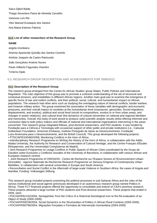Saico Djibril Balde Thiago Severiano Paiva de Almeida Carvalho Vanessa Luís Rei Vitor Manuel Eustaquio dos Santos Ana Marta Esteves Patricio

#### **9.2.3 List of other researchers of the Research Group**

#### **NAME**

angela movileanu Antonia Aparecida Quintão dos Santos Cezerilo António Joaquim de Castro Raimundo João Gonçalves Arsénio Nunes Paulo Gilberto Fagundes Visentini Tcherno Djalo

## **9.3. RESEARCH GROUP DESCRIPTION AND ACHIEVEMENTS FOR 2008/2012**

#### **9.3.1 Description of the Research Group**

The research group emerged from the Centre for African Studies' group States, Public Policies and International Regulation. The main objective of this group was to promote a cohesive understanding of the set of structural and contextual tensions, and instabilities in different African regions. Another main goal was to examine the emergence of specific forms of war and violent conflicts, and their political, social, cultural, and humanitarian impact on African populations. The research had other aims such as studying the overlapping nature of internal conflicts, border warfare, and invasive military action. The group examined the association of these variables with demographic and economic pressures, and their overall impact on societies at the humanitarian level (massacres, genocides, forced migrations, displacements, and exodus), political and social level (social re-compositions, exodus to or from urban areas, and changes in power relations), and cultural level (the dynamics of cultural reinvention on national and regional identities and memories). Overall, this body of work aimed to produce solid scientific analytic results whilst offering informed and conclusive data to both policy makers and officials of national and international organisations intervening in the areas concerned. This research group integrated fellows, post-doctoral researchers, and PhD students. It was funded by Fundação para a Ciência e Tecnologia with occasional support of other public and private institutions (i.e., Calouste Gulbenkian Foundation, American Embassy, Instituto Português de Apoio ao Desenvolvimento, Fundação Luso-Americana para o Desenvolvimento, and the British Council). This group developed the following projects:

• PTDC/AFR/100460/2008, Monitoring Conflicts in the Horn of Africa.

• Interdisciplinary Research Programme on Writing the History of the Horn of Africa, in collaboration with the Addis Ababa University, the Authority for Research and Conservation of Cultural Heritage, and the Centre Français d'Études Éthiopiennes, and the Universidad Complutense de Madrid,.

• Joint Research Programme on Usage Conflicts in Public Spaces of African Cities coordinated by the Grupo de Estudios sobre Exclusión y Conflictos Sociales of the University of Barcelona, in collaboration with various African and European research centres

• .Joint Research Programme of CRESSON - Centre de Recherche sur l'Espace Sonore et l'Environnement Urbain (Grenoble) - Agence Nationale de Recherche Research Programme on Sensory Enigmas of Contemporary Urban Mobilities, in collaboration with several universities in Europe and South America.

• Reconciliation and Social Conflict in the Aftermath of large-scale Violence in Southern Africa: the cases of Angola and Namibia. Funding: Volkswagen Stiftung.

This research group included projects examining the political processes in sub-Saharan Africa and the roles of the various institutional and social agents (previously developed in an autonomous research group named Politics in Africa). Three FCT-financed projects offered the opportunity to consolidate and extend on CEA's previous research. These projects attracted a large number of PhD students and Post-doctoral researchers. These projects that ended in 2009, were:

• POCI/AFR/61152/2004, Senegambia: from the Critics of a Historical-Sociological Icon to the Re-evaluation of an Object of Study (2005-2009);

• POCI/AFR/59228/2004, Social Dynamics in the Structuration of Politics in African Rural Contexts (2005-2009).

• POCI/AFR/60799/2004, Migrações Forçadas e Formatos de Intervenção Humanitária (2004-2009)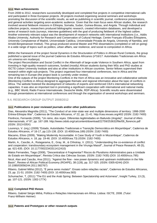#### **9.3.2 Main achievements**

From 2008 to 2012, researchers successfully developed and completed five projects in competitive international calls and participated in three European projects. All projects involved organising several seminars and workshops promoting the discussion of the scientific results, as well as publishing in scientific journal, conference presentations, and general activities targeting anon-academic audience. Given that the main focus were African studies, the research involved several fieldwork missions in Ethiopia, Somalia, Sudan, Guinea-Bissau, and Angola. Through individual and collective projects, researchers produced bibliographic research, created information databases, and developed a series of research tools (surveys, interview guidelines) with the goal of producing fieldwork of the highest calibre. Another extremely relevant output was the development of research networks with international institutions (i.e., Addis Ababa University, Authority for Research and Conservation of Cultural Heritage, Centre Français d'Études Éthiopiens, University Complutense of Madrid, Universidade Católica, Universidade Privada de Angola, University of Namibia, and Arnold-Bergstraesser-Institut). This group produced several Master and PhD dissertations (completed or still on going) in a wide range of topics such as politics, urban affairs, war resilience, and social re-composition in Africa.

Within the framework of the project Social Dynamics in the Structuration of Politics in African Rural Contexts, the group published a special issue of the journal Cadernos de Estudos Africanos (nº16/17: Autoridades Tradicionais em África: um universo em mudança).

The project Reconciliation and Social Conflict in the Aftermath of large-scale Violence in Southern Africa, apart from investing in high-quality research outcomes, funded (mostly) African students during their MSc and PhD studies at ISCTE-Lisbon University Institute and also at other institutions in African countries. Senior fellows supervised their research within eight sub-projects. This project organised four international conferences, two in Africa and the remaining two in Europe (the project book is currently under review).

One of the outputs of the project Monitoring Conflicts in the Horn of Africa was an innovative and collaborative website (Monitoring Conflicts in Africa) designed to aggregate thematic and regional information about the topic of conflicts in Africa. The website fostered the development of networks of experts and reinforced CEA's international networking capacities. It was also an important tool in promoting a significant cooperation with international and national media (e.g., BBC World, Radio France Internationale, Deutsche Welle, RDP-África). Scientific results were disseminated through presentations at international conferences and through the organisation of several workshops and seminars.

## **9.4. RESEARCH GROUP OUTPUT 2008/2012**

#### **9.4.1 Publications in peer reviewed journals and/or other publications**

Dias, Alexandra Magnólia (2011), "The Conduct of an inter-state war and multiple dimensions of territory: 1998-2000 Eritrea-Ethiopia War", Cadernos de Estudos Africanos, nº 22, pp. 21-41. http://cea.revues.org/402 (ISSN: 2182-7400) Florêncio, Fernando (2009), "Un reino, dos reyes. Diferentes legitimidades en Bailundo (Angola)", Journal of Afers Internacionals, nº 87, pp. 167-189. http://www.cidob.org/ca/content/download/22759/253632/file/09\_florencio.pdf (ISSN: 2013-035X)

Lourenço, V. (org.) (2009) "Estado, Autoridades Tradicionais e Transição Democrática em Moçambique", Cadernos de Estudos Africanos, nº 16-17, pp.115-138. (DOI: 10.4000/cea.189) (ISSN: 2182-7400)

Macamo, Elísio (2009), "Making Modernity Accountable: A Case Study of Youth in Mozambique", Cadernos de Estudos Africanos, n. 18, pp. 19-46. (DOI: 10.4000/cea.73) (ISSN: 2182-7400)

Martin, A., Cascão, A., Rutagarama, E., Gray, M., & Chhotray, V. (2011). "Understanding the co-existence of conflict and cooperation: transboundary ecosystem management in the Virunga Massif", Journal of Peace Research, 48 (5), pp. 621-635. (DOI: 10.1177/0022343311412410)

Matos Fernandes, Tiago (2008), "Descentralizar é Fragmentar? Riscos do Pluralismo Administrativo para a Unidade do Estado em Moçambique", Revista Crítica das Ciências Sociais. (ISSN: 2182-7435) (DOI: 10.4000/rccs.795)

Nicol, Alan and Cascão, Ana (2011), "Against the flow - new power dynamics and upstream mobilisation in the Nile Basin", Review of African Political Economy (ROAPE), 38 (128), pp. 317-325. (ISSN: 0305-6244) (DOI: 10.1080/03056244.2011.582767)

Ribeiro, Gabriel Mithá (2012), "É pena seres mulato!": Ensaio sobre relações raciais", Cadernos de Estudos Africanos, 23, pp. 21-51. (ISSN: 2182-7400) (DOI: 10.4000/cea.583)

Schumacher, T, (2011) "The EU and the Arab Spring: Between Spectatorship and Actorness", Insight Turkey, 13 (3), pp. 107-121. (ISSN: 1302-177X)

#### **9.4.2 Completed PhD theses**

Ribeiro, Gabriel Sérgio Mithá, Política e Relações Internacionais em África. Lisboa: ISCTE, 2008. (Tutor: Franz-Wilheim Heimer)

#### **9.4.3 Patents and Prototypes or other research outputs**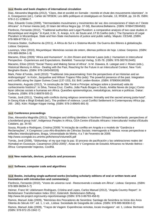#### **9.4.4 Books and book chapters of international circulation**

Dias, Alexandra Magnólia (2012), "Clans, état et société en Somalie : montée et chute des mouvements islamistes". In A. Gnanguenon (ed.), Cahier de l'IRSEM, Les défis politiques et stratégiques en Somalie, 13, IRSEM, pp. 16-35. ISBN: 978-2-11-129694-7.

Dias, Eduardo Costa (2009), "Hermandades musulmanes y movimientos da' wa: dos concepciones d' Islam en l' Oeste Africano". In Ferran Iniesta (ed), El Islam del Africa Negra (pp. 37-58), Barcelona:Bellaterra. (ISBN: 9788472904583)

Florêncio, Fernando (2012), "Traditional authorities and Legal Pluralism: a comparative analysis of two case studies in Mozambique and Angola." In Kyed, H.M., S. Araújo, A.N. de Souto and J.P.B.Coelho (eds.): The Dynamics of Legal Pluralism in Mozambique. State and Non-State mechanisms of justice and public safety. Maputo: CESAB. (ISBN: 978-989-97730-1-1)

Fonseca-Statter, Guilherme da (2011), A África do Sul e o Sistema-Mundo: Da Guerra dos Bôeres à globalização. Lisboa: Gerpress.

Lourenço, Vitor (2010), Moçambique: Memórias sociais de ontem, dilemas políticos de hoje. Lisboa: Gerpress. (ISBN: 978-989-96094-1-9)

Macamo, Elísio (2009) "Africa and Humanism". In Jörn Rüsen and Henner Laass (eds.): Humanism in Intercultural Perspective - Experiences and Expectations. Bielefeld. Transcript Verlag. S.65-78. (ISBN: 978-3837613445)

Macamo, Elísio (2010) "Social Theory and Making Sense of Africa". In M. Diawara, B. Lategan and J. Rüsen (eds.), Historical Memory in Africa - Dealing with the Past, Reaching for the Future in an Intercultural Context. New York: Berghahn Books. (ISBN: 978-1845456528)

Mark, Peter &Tomàs, Jordi (2010): "Traditional Jola peacemaking: from the perspectives of an Historian and an Anthropologist". In Knörr, Jacqueline and Wilson Trajano Filho (eds): The powerful presence of the past. Integration and conflict along the Upper Guinea Coast (137-153), Ed. Brill: Leiden-Boston. (ISBN: 9789004190009)

Nascimento, Augusto (2012), "A construção de São Tomé e Príncipe: achegas sobre a (eventual) valia do conhecimento histórico". In Silva, Teresa Cruz, Coelho, João Paulo Borges e Souto, Amélia Neves de (orgs.) Como fazer ciências sociais e humanas em África. Questões epistemológicas, metodológicas, teóricas e políticas. Dakar: Codesria. (ISBN: 978-2-86978-505-2)

Tomàs, Jordi (2011), "Dealing with conflicts during religious ceremonies: liminality and the sacred among joola-huluf". In Georg Klute e Birgit Embaló (ed.), The problem of violence. Local Conflict Settlement in Contermporary Africa (pp. 265 - 280). Köln: Rüdiger Köppe Verlag. (ISBN: 978-3-89645-891-9)

#### **9.4.5 Conference proceedings**

Dias, Alexandra Magnólia (2011), "Strategies and shifting identities in Northern Ethiopia's borderlands: perspectives of a borderland group Irob", Indigenous Peoples in Africa, CEA-Centre d'Estudis Africans i Interculturals/ Institut d'Estudis Catalans, pp. 34-50.

Sousa, Ricardo e Rodrigues, Cristina (2009) "A iniciação de conflito em Angola e o modelo de "Ganância e Reclamações", X Congresso Luso-Afro-Brasileiro de Ciências Sociais: Interrogando a Pobreza: novas perspectivas e reflexões interdisciplinares, Braga, Universidade do Minho, 4 a 7 de Fevereiro de 2009. http://www.xconglab.ics.uminho.pt/ficheiros/Volume05.pdf

Tomàs, Jordi (2008), "Sibilumbay: el rey que trajo la paz. El proceso de pacificación y las celebraciones reales del Húmabal en Oussouye, Casamance (2002-2005)", Actas do V Congresso de Estudos Africanos no Mundo Ibérico - África: Compreender trajectos, Covilhã.

#### **9.4.6 New materials, devices, products and processes**

#### **9.4.7 Software, computer code and algorithms**

#### **9.4.8 Books, including single-authored works (including scholarly editions of oral or written texts and translations with introduction and commentary)**

Florêncio, Fernando (2010), "Vozes do universo rural - Reescrevendo o estado em África". Lisboa: Gerpress. (ISBN: 978-989-96094-5-7)

Heimer, Franz-W; Udelsmann Rodrigues, Cristina and Lopes, Carlos Manuel (2012), "Angola Country Report". In Bertelsmann Transformation Index 2012, Gütersloh: Bertelsmann-Stiftung. http://www.bti-project.org/country-reports/esa/ago (ISBN: 978-3-86793-458-9)

Ramos, Manuel João (2009), "Memórias dos Pescadores de Sesimbra: Santiago de Sesimbra no Início dos Anos Oitenta do Século XX". ed. 1, 1 vol., Lisboa: Sociedade de Geografia de Lisboa. (ISBN: 978-989-96308-0-2)

Ramos, Manuel João (2009), "Traços de Viagem: Experiências remotas, locais invulgares". ed. 1, Lisboa: Bertrand. (ISBN: 978-972-25-1942-7)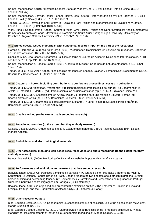Ramos, Manuel João (2010), "Histórias Etíopes: Diário de Viagem". ed. 2, 1 vol. Lisboa: Tinta da China. (ISBN: 9789896710347)

Ramos, Manuel João, Boavida, Isabel, Pennec, Hervé. (eds.) (2010) "History of Ethiopia by Pero Páez" ed. 1, 2 vols.. London: Hakluyt Society. (ISBN: 978-1908145017)

Tazmini, G. (2012) Revolution and Reform in Russia and Iran: Politics and Modernisation in Revolutionary States, London, I. B. Tauris. (ISBN: 978-1848855540)

Vidal, Nuno & Chabal, Patrick (2009), "Southern Africa: Civil Society, Politics and Donor Strategies; Angola, Zimbabwe, Democratic Republic of Congo, Mozambique, Namibia and South Africa", Wageningen University, University of Coimbra & Angolan Catholic University. (ISBN: 978-972-99270-9-6)

#### **9.4.9 Edited special issues of journals, with substantial research input on the part of the researcher**

Florêncio, Florêncio & Lourenço, Vitor (org.) (2009), "Autoridades Tradicionais: um universo em mudança", Cadernos de Estudos Africanos, 16/17 (ISSN: 1645-3794)

González Aimé, Elsa (coord.) "Dinámicas Políticas en torno al Cuerno de África" in Relaciones Internacionales, nº 18, octubre de 2011, pp. 211. (ISSN: 1699-3950)

Ramos, Manuel João & Rodolfo Soares (2008), "Espírito de Missão", Cadernos de Estudos Africanos, n 15. (ISSN: 1645-3794)

Tomàs, Jordi e Farré, Albert (2009), "Los estudios africanos en España. Balance y perspectivas". Documentos CIDOB Desarrollo y Cooperación, 4. (ISSN: 1887-1798)

#### **9.4.10 Chapters in books, including contributions to conference proceedings, essays in collections**

Tomàs, Jordi (2009), "Identidad, "resistencia" y religión tradicional entre los joola del sur del Río Casamance". In Aixelà, Y., Mallart, Ll., Martí, J. (ed.) Introducción a los estudios africanos (pp. 131-145), Ediciones Ceiba: Vic. Tomàs, Jordi (2010), "¿Secesionismo en África? Pistas y preguntas para una reflexión". In Jordi Tomàs (ed.) Secesionismo en África (pp. 11-47). Barcelona: Bellaterra. (ISBN: 9788472905061)

Tomàs, Jordi (2010) "Casamance: el particularismo inquietante". In Jordi Tomàs (ed.) Secesionismo en África. Barcelona: Bellaterra. (ISBN: 9788472905061)

#### **9.4.11 Creative writing (to the extent that it embodies research)**

#### **9.4.12 Encyclopedia entries (to the extent that they embody research)**

Castelo, Cláudia (2008), "O que não se sabia: O Estatuto dos Indígenas", In Os Anos de Salazar: 1954, Lisboa, Planeta Agostini.

#### **9.4.13 Audio/visual and electronic/digital materials**

#### **9.4.14 Other categories, including web-based resources; video and audio recordings (to the extent that they embody research)**

Ramos, Manuel João (2009), Monitoring Conflicts Africa website. http://conflicts-in-africa.iscte.pt/

#### **9.4.15 Performances and exhibitions to the extent that they embody research**

Boavida, Isabel (2011), Co-organized a multimedia exhibition «O Grande Salto - Migração e Retorno no Mali» (7 September - 2 October, Fábrica Braço de Prata, Lisboa); Moderated two debates about african migrations: «Doing border:building and overcoming fences» (22 September) & «Narratives and Perspectives on migrations in Portugal (Olhares e narrativas sobre migrações em Portugal» (30 September);

Boavida, Isabel (2011) co-organised and presented the exhibition entitled «The Emperor of Ethiopia in Lusoland: Ethiopia, Portugal and the Organization of African Unity» (4-9 dezembro, Rabat);

#### **9.4.16 Other research outputs**

Dias, Eduardo Costa (2010), "La Sénégambie: un concept historique et socioculturelle et un objet d'étude réévalues", Mande Studies, 9, pp. 9-19

Dias, Eduardo Costa e Giesing, C. (2010), "La préservation et la transmission de la mémoire collective du 'Kaabu Manding' par les commerçants et lettrés de la Sénégambie méridionale", Mande Studies, 9, 63-81.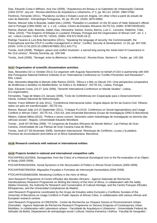Dias, Eduardo Costa e Milheiro, Ana Vaz (2009), "Arquitectura em Bissau e os Gabinetes de Urbanização Colonial (1944-1974)", arq.urb - Revista eletrônica de Arquitetura e Urbanismo, nº 2, pp. 80-114. (ISSN: 1984-5766)

Florêncio, Fernando (2011), "Pluralismo Jurídico e Estado Local em Angola. Um olhar crítico a partir do estudo de caso do Bailundo", Antropologia Portuguesa, 28, pp. 95-134. (ISSN: 0870-0990)

Ramos, Manuel João & Boavida, Isabel (eds.) (2009), "Rastafari in Lusoland: on the 50 years of Haile Selassie's official visit to Portugal (1959-2009)" ed. 1, 1 vol., Lisboa: Centro de Estudos Africanos ISCTE-IUL (ISBN: 9789728335182) Ramos, Manuel João, Boavida, Isabel, Dias, Alexandra; Santos, Aurora, Barros, Luís C., Lecoutre, Delphine, Tribe, Tânia. (2010), "The Emperor of Ethiopia in Lusoland: Ethiopia, Portugal and the Organization of African Unit". ed. 2, 1 vol.. Lisbon-London: CEA-ISCTE / SOAS. (ISBN: 978-972-8335-18-2)

Rodrigo Tavares & Luís Brás Bernardino (2011), "Speaking the language of security: the Commonwealth, the Francophonie and the CPLP in conflict management in Africa", Conflict, Security & Development, 11 (5), pp. 607-636. (ISSN: 1478-1174) (DOI:10.1080/14678802.2011.641771)

Tomàs, Jordi (2008), "Religion, peace and conflict resolution: a sacred king among the Joola-húluf of Casamance in the 21st century", Revista Soronda, pp. 329-348.

Tomàs, Jordi (2008), "Senegal: entre la diferència i la indiferència", Revista Eines. Número 6 - Tardor, pp. 145-160.

#### **9.4.17 Organisation of scientific dissemination activities**

Dias, Alexandra (10-11 October 2011) Co-organizer with Augusto Nascimento on behalf of CEA in partnership with IDN (the Portuguese National Defence Institute) of an "International Conference on 'Conflict Prevention and Resolution'", IDN, Lisbon

Dias, Alexandra Magnólia & Manuel João Ramos (2010), "África e o Mar no Século XXI: Uma perspectiva comparativa de tendências e desafios no Mediterrâneo, no Índico e no Atlântico", ISCTE-IUL, Lisboa, Portugal.

Dias, Eduardo Costa, (24-27 June 2008), "Seventh International Conference on Mande Studies", Lisboa, (Co-organizador).

Fernandes, Tiago de Matos (21 January 2008), "Ciclo de Conferências em Cooperação para o Desenvolvimento", Oeiras, Instituto Nacional de Administração.

Heimer, Franz-Wilhelm (8 July 2011), "Conferência Internacional sobre: Angola depois do fim da Guerra Civil: Olhares sobre um país em transformação", ISCTE-IUL.

Ramos, Manuel João (14-15 September 2011), "Coloque FLUXUS, Conference on Social Appropriations and Usage Conflicts in African Cities", ISCTE-IUL, CEA-IUL and Universitat Barcelona (Grupo de investigaçao GRECS-Barcelona)

Ribeiro, Gabriel Mithá (2010), "Política e senso comum. Seminário sobre metodologia de investigação no domínio das ciências sociais", Maputo, Universidade Eduardo Mondlane.

Tomàs , Jordi (07-09 May 2008), "VI Congresso de Estudos Africanos do Mundo Ibérico", Las Palmas de Gran Canaria, Universidade de Las Palmas de Gran Canaria-Casa de África.

Tomàs, Jordi (27-28 November 2008), Seminário Internacional -Resoluçao de Conflictos; La paz y la palabra. Procesos de reconciliación post-bélica en el África Subsahariana, Barcelona.

#### **9.4.18 Research contracts with national or international entities**

#### **9.4.19 Projects funded in national and international competitive calls**

POCI/AFR/61152/2004, Senegambia: from the Critics of a Historical-Sociological Icon to the Re-evaluation of an Object of Study (2005-2009);

POCI/AFR/59228/2004, Social Dynamics in the Structuration of Politics in African Rural Contexts (2005-2009).

POCI/AFR/60799/2004; Migrações Forçadas e Formatos de Intervenção Humanitária (2004-2009).

PTDC/AFR/100460/2008, Monitoring Conflicts in the Horn of Africa.

Joint Research Programme of Centre d'Études des Mondes Africains - Agence Nationale de Recherche Interdisciplinary Research Programme on Writing the History of the Horn of Africa, in collaboration with the Addis Ababa University, the Authority for Research and Conservation of Cultural Heritage, and the Centre Français d'Études Éthiopiennes, and the Universidad Complutense de Madrid,.

Joint Research Programme coordinated by the Grupo de Estudios sobre Exclusión y Conflictos Sociales of the University of Barcelona on Usage Conflicts in Public Spaces of African Cities, in collaboration with various African and European research centres

Joint Research Programme of CRESSON - Centre de Recherche sur l'Espace Sonore et l'Environnement Urbain (Grenoble) - Agence Nationale de Recherche Research Programme on Sensory Enigmas of Contemporary Urban Mobilities, in collaboration with Laboratorio urbano - Faculdade de Arquitetura e Urbanismo - Universidade Federal da Salvador da Bahia, Departament de antropologia social i cultural, historia d'america i d'africa - Facultat de Geografia i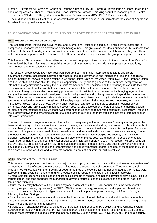Història - Universitat de Barcelona, Centro de Estudos Africanos - ISCTE - Instituto Universitário de Lisboa, Instituto de estudios regionales y urbanos - Universidad Simon Bolivar de Caracas, Emerging securities research group - Centre de recherche "Study of Politics, International Relations & Environment (RC4SPIRE)" Keele University.

• Reconciliation and Social Conflict in the Aftermath of large-scale Violence in Southern Africa: the cases of Angola and Namibia. Funding: Volkswagen Stiftung.

#### **9.5. ORGANISATIONAL STRUCTURE AND OBJECTIVES OF THE RESEARCH GROUP 2015/2020**

#### **9.5.1 Structure of the Research Group**

The research group "Institutions, Governance, and International Relations" is led by a Principal Investigator and is composed of researchers from different scientific backgrounds. This group also includes a number of PhD students that will most likely be enlarged given the constant interest of students in the thematic areas of this research group. There will be a strong emphasis on the elaboration of PhD theses under the supervision of the group's integrated members.

This Research Group develops its activities across several geographic lines that exist in the structure of the Centre for International Studies. It focuses on the political aspects of International Studies, with an emphasis on Institutions, Governance, and International Relations.

This research group covers two major research programmes. The first is "international relations and global governance", where researchers study the architecture of global governance and international, regional, and global political institutions, as well as organisations, such as the United Nations, the Africa Union, NATO, the European Union, and the South Asian Association for Regional Cooperation. The goal is to go beyond the traditional perspective of international organisations as merely the sum of its members and their policies, and the tendency to evaluate their role in the globalised world of the twenty-first century. Our focus will be instead on the relationships between domestic politics and foreign policies, decision-making processes, public policies in world affairs, whilst bringing together the study of international relations with analyses of public policy creation and global governance beyond the nation-state. Given the increasing role of non-state agents in world politics, our interest is not only in relations between countries but also in transnational non-governmental and civil society organisations, their structures and processes, and their influence on global, national, or local policy arenas. Particular attention will be paid to changing regional power dynamics, weak and failing states, relations between security and development, foreign policies of emerging powers, religion, and international politics. As these two different spheres cannot be analysed separately, research will focus on the interplay between the emerging sphere of a global civil society and the more traditional sphere of international or interstate interactions.

The second research program focuses on the multidisciplinary study of the most relevant "security challenges for the twenty-first century". It includes traditional threats to peace, such as bilateral and regional armed conflicts; the perils of nuclear, biological and chemical weapons; and the proliferation of conventional weapons and technologies. Particular attention will be given to the spread of new, cross-border, and transnational challenges to peace and security. Among the topics to be explored we include the interplay between information technologies and security (namely cyber defence), terrorism prevention, energy security, and also environmental security, demographic developments and health risks, climate change, food and water shortage, and increasing energy needs. The research will also focus on positive security perspectives, which rely on non-violent measures, to quantitatively and qualitatively analyse efforts developed by international and regional organisations and nongovernmental agents. The goal of these perspectives is to de-escalate, solve conflicts, and to promote cooperation both at a bilateral or multilateral level.

#### **9.5.2 Objectives of the Research Group**

This research group is structured around two major research programmes that draw on the past research experience of its members, whilst reflecting the future research interests of a young group of researchers. These two research programmes will overlap with the three major geographic lines of the Centre for International Studies (i.e., Africa, Asia, Europe and Transatlantic Relations) and will produce specific research projects in the following subjects:

• Cross regional: economic globalisation and its political impact at regional and national levels; energy issues, religious fragmentation, and food shortage; the humanitarian adverse results of economic disparities and political fragilities: famine and migration.

• Africa: the interplay between AU and African regional organisations; the EU-AU partnership in the context of the widening range of emerging powers (the BRICS; G20); control of energy sources; societal impact of international new-liberal policies; ethnicity and religion as sources of conflict; separation, power sharing, and African Springs, following the Arab Springs.

• Asia: the dynamics of governance and power in the Eurasian continental platform and the Middle East; the Indian Ocean as a door to Africa; India-China-Japan relations; the Euro-American effect in intra-Asian relations; the growing power versus the dangers of nationalism.

• Europe and Transatlantic Relations: the future of European integration and EU's political and governance system; EU's Common Security and Defence Policy; most important challenges to international security in the 21st Century, such as mass immigration, global commons, energy security, Cyber warfare, CBRN Defence, environmental security,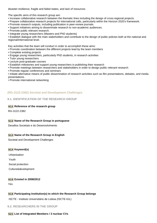disaster-resilience, fragile and failed states, and lack of resources.

The specific aims of this research group are:

- Increase collaborative research between the thematic lines including the design of cross-regional projects.
- Prepare collaborative research projects for international calls, particularly within the Horizon 2020's framework.
- Promote research outputs, including publication in peer-review journals.
- Support initiatives aiming to disseminate research to non-academic audiences.
- Promote public relevant research.
- Integrate young researchers (Masters and PhD students)

• Establish dialogue with the main stakeholders and contribute to the design of public policies both at the national and regional/international level.

Key activities that the team will conduct in order to accomplish these aims:

- Promote coordination between the different projects lead by the team members
- Complete existing projects
- Engage young researchers, particularly PhD students, in research activities
- Tutor young researchers
- Lecture post-graduate courses
- Establish milestones and support young researchers in publishing their research
- Promote meetings between researchers and stakeholders in order to design public relevant research
- Promote regular conferences and seminars

• Initiate alternative means of public dissemination of research activities such as film presentations, debates, and media presentations.

• Promote international networking

## **(RG-3122-2382) Societal and Development Challenges**

## **9.1. IDENTIFICATION OF THE RESEARCH GROUP**

#### **9.1.1 Reference of the research group**

RG-3122-2382

#### **9.1.2 Name of the Research Group in portuguese**

Desafios Societais e do Desenvolvimento

#### **9.1.3 Name of the Research Group in English**

Societal and Development Challenges

#### **9.1.4 Keyword(s)**

Urbanisation Youth Social protection Culture&development

#### **9.1.5 Existed in 2008/2012 Y**es

#### **9.1.6 Participating Institution(s) to which the Research Group belongs**

ISCTE - Instituto Universitário de Lisboa (ISCTE-IUL)

#### **9.2. RESEARCHERS IN THE GROUP**

#### **9.2.1 List of Integrated Members / 3 nuclear CVs**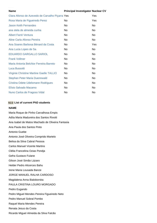| <b>Name</b>                                     | <b>Principal Investigator Nuclear CV</b> |     |
|-------------------------------------------------|------------------------------------------|-----|
| Clara Afonso de Azevedo de Carvalho Piçarra Yes |                                          | Yes |
| Rosa Maria de Figueiredo Perez                  | No                                       | Yes |
| <b>Jason Keith Fernandes</b>                    | N <sub>o</sub>                           | No  |
| ana stela de almeida cunha                      | No                                       | No  |
| Albert Farré Ventura                            | <b>No</b>                                | No  |
| Aline Carla Afonso Pereira                      | No.                                      | No  |
| Ana Soares Barbosa Bénard da Costa              | No                                       | Yes |
| Ana Lucia Lopes de Sa                           | No                                       | No  |
| <b>EDUARDO GARGALLO SARIOL</b>                  | N <sub>o</sub>                           | No  |
| <b>Frank Vollmer</b>                            | <b>No</b>                                | No. |
| Maria Antonia Belchior Ferreira Barreto         | No                                       | No  |
| Luca Bussotti                                   | N <sub>o</sub>                           | No  |
| Virginie Christine Martine Gaelle TALLIO        | N <sub>o</sub>                           | No  |
| <b>Stephan Peter Maria Duennwald</b>            | No                                       | No  |
| Cristina Odete Udelsmann Rodrigues              | N <sub>o</sub>                           | No  |
| Elísio Salvado Macamo                           | N <sub>o</sub>                           | No  |
| Nuno Carlos de Fragoso Vidal                    | No                                       | No  |

#### **9.2.2 List of current PhD students**

#### **NAME**

Maria Roque de Pinho Carvalhosa Empis Adíia Maria Madureira dos Santos Rivotti Ana Isabel de Matos Machado de Oliveira Fantasia Ana Paula dos Santos Pinto Antonio Guebe Antonio José Oliveira Comprido Martelo Belisa da Silva Cabral Pessoa Carlos Manuel Vicente Martins Clélia Francelina Ozias Pondja Gefra Gustavo Fulane Gilson José Simão Lázaro Helder Pedro Alicerces Bahu Irene Maria Lousada Banze JORGE MANUEL RALHA CARDOSO Magdalena Anna Bialoborska PAULA CRISTINA LOURO MORGADO Pedro Eugando Pedro Miguel Mendes Pereira Figueiredo Neto Pedro Manuel Sobral Pombo Raquel Maria Mendes Pereira Renata Jesus da Costa Ricardo Miguel Almeida da Silva Falcão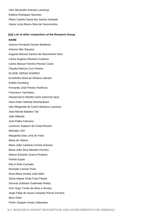Vitor Alexandre Antunes Lourenço Edalina Rodrigues Sanches Flávio Castelo David dos Santos Andrade Joana Luísa Moura Silva de Vasconcelos

#### **9.2.3 List of other researchers of the Research Group**

#### **NAME**

Antonio Fernando Gomes Medeiros Antonio Alito Siqueira Augusto Manuel Saraiva do Nascimento Diniz Carlos Eugénio Monteiro Cardoso Carlos Manuel Ferreira Peixoto Couto Claudia Patricia Cruz Pereira ELIANE VERAS SOARES Ermelinda Sílvia de Oliveira Liberato Estélio Gomberg Fernando José Pereira Florêncio Francesco Vacchiano FRANCISCO PEDRO DOS SANTOS NOA Hans-Peter Heilmair-Reichenbach Inês Margarida de Castro Barbosa Lourenço Jean-Michel Mabeko-Tali João Milando José Fialho Feliciano Lourenco Joaquim da Costa Rosario Mamadu JAO Margarida Dias Lima de Faria Maria de Fátima Maria João Cardona Correia Antunes Maria João Silva Mendes Ferreira Nelson Eduardo Guerra Pestana Pamila Gupta Rita d´Ávila Cachado Rochelle Carmen Pinto Rosa Maria Amélia João Melo Sónia Infante Girão Frias Piepoli Srinivas Subhash Gudimetla Reddy Victr Hugo Torrão da Silva e Nicolau Jorge Filipe de Sousa Varanda Preces Ferreira Ákos Östör Pedro Joaquim Amaro Sebastiao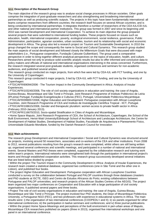#### **9.3.1 Description of the Research Group**

The main objective of the research group was to analyse social change processes in African societies. Other goals comprise the integration of post-graduate researchers and also strengthening and broadening international partnerships as well as producing scientific outputs. The projects in this topic have been fundamentally international: all teams comprise researchers from different countries; the research itself focuses on several African countries; and is being conducted by international partnerships. It integrates therefore a number of researchers of the CEA-IUL/CEI-IUL and other national and international partner institutions. This group was formed in 2007 and since its beginning until 2010 was named Development and International Cooperation. To achieve its main objective the group prepared several projects that were submitted to international funding bodies. These projects focused on issues such as education, health, international cooperation, poverty, ecological environment, social resilience, governance, Public Administration, participation, agrarian societies, urban societies, tourism and its relationship with social and economic development in Africa. The group also led a research project on Tourism and Sustainable Development. In 2010 the group changed the scope and consequently the name to Social and Cultural Dynamics. This research group studied the main aspects of social development and followed closely the Millennium Goals that were discussed with major stakeholders (i.e., Portuguese cooperation, Fundação Calouste Gulbenkian). The group used a comparative perspective in order to bring together different analytical perspectives on the topics of education, health, and culture. Researchers aimed not only to produce solid scientific analytic results but also to offer informed and conclusive data to policy makers and officials of national and international organisations intervening in the areas concerned. Furthermore, the research integrated several post-graduate students, organised conferences and seminars for non-academic audiences, and published several articles.

This research group conducted six major projects, from which five were led by CEA-IUL with FCT funding, and one by the University of Copenhagen:

This research group conducted 6 major projects, 5 led by CEA-IUL with FCT funding, and one by the University of Copenhagen:

• PTDC/AFR/69094/2006 - The Tourism Impact in the Community Development in Africa: Analysis of Insular Experiences.

• PTDC/AFR/103240/2008, The role of civil society organizations in education and training: the case of Angola, Guinea-Bissau, Mozambique and São Tomé e Príncipe, Joint Research Programme of Instituto Politécnico de Leiria (IPLeiria) Portugal, Fundação Evangelização e Culturas (FEC), Portugal, Universidade Politécnica Moçambique. • PTDC/AFR/099057/2008, Higher Education and Development: Portuguese cooperation with African Lusophone Countries. Joint Research Programme of CEA and Instituto de Investigação Científica Tropical - IICT, Portugal. • PTDC/AFR/108615/2008, Gender and therapeutic pluralism: women access to private health sector in Africa (February 2010-January 2013).

• PTDC/AFR/116670/2010, Socio-spatial Stratification in Cities of Angola and Mozambique.

• Home Space Maputo, Joint Research Programme of CEA, the School of Architecture, Copenhagen, the School of the Built Environment, Heriot-Watt University/Edinburgh School of Architecture and Landscape Architecture, the Centre for Development of Habitat Studies, Development of Habitat Studies, Faculdade de Arquitectura e Planeamento Físico, Universidade Eduardo Mondlane, funded by the Danish Research Council for Innovation

#### **9.3.2 Main achievements**

The research group Development and International Cooperation / Social and Cultural Dynamics was structured around six projects, involving around 50 researchers, associates and co-workers of the CEA and other institutions. From 2008 to 2012, several publications resulting from the group's research were completed, whilst others are still being written up; organised several conferences and scientific meetings, and participated in a number of national and international events. Several Masters and PhD theses were completed, supported by the collaborative research and tutoring work within team's projects. International networks were strengthened both through the participation in international project's teams and through established cooperation activities. This research group successively developed several initiatives that are listed below divided by project.

• Within the project The Tourism Impact in the Community Development in Africa: Analysis of Insular Experiences, the research team created a statistical database, organized two conferences (one in São Tomé and the other one in Lisbon), and published four books.

• The project Higher Education and Development: Portuguese cooperation with African Lusophone Countries conducted a survey on the collaboration between Portugal and PALOP countries through three databases (masters and PhD students at ISCTE, ISEG and Centro de Estudos Africanos do Porto; existing collaborations between Portuguese and PALOP universities; and research projects of the African Studies Centres of the AEGIS). The project team organized two major conferences on Cooperation and Education with a large participation of civil society organisations. It published several papers and three books.

• Project The role of civil society organisations in education and training: the case of Angola, Guinea-Bissau, Mozambique and São Tomé e Príncipe. The project involved four PhD students, the Dean of Mozambique Politécnica University, a Portuguese NGO (FEC), and two professors with experience in educational systems in Africa. The main results were: i) the organisation of two international conferences (COOPEDU I and II); ii) six panels organised for other international conferences; iii) the participation in twelve seminars and conferences; and iv) three journal publications. • Within the project Home Space-Meanings and perceptions of the built environment in peri-urban areas of Maputo, Mozambique CEA researchers published six papers (three in 2013), organised five international workshops and one panel in an international conference.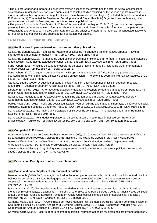• The project Gender and therapeutic pluralism: women access to the private health sector in Africa, accomplished several goals: i) Identified key non-state agents and conducted studies focusing on the various agents involved in mother-child health programmes in Angola, Guiné-Bissau, Mozambique, and Niger; ii) Included three Master and four PhD students; iii) Conducted the Masters on Development and Global Health; iv) Organised one conference, nine panels in international conferences, and completed several publications.

• The project Socio-spatial Stratification in Cities of Angola and Mozambique (2012-2014) has thus far (a) prepared presentation brochures containing information about the project and disseminated this information to its partners in Mozambique and Angola; (b) initiated a literature review and analysed cartographic material; (c) conducted fieldwork; (d) published several articles and submitted for publication four papers.

**9.4. RESEARCH GROUP OUTPUT 2008/2012**

## **9.4.1 Publications in peer reviewed journals and/or other publications**

Costa, Ana Bénard (2011), "Famílias de Maputo: processos de mobilidade e transformações urbanas", Revista Internacional em Língua Portuguesa - RILP, pp.177-192. (ISSN: 2182-4452)

Costa, Ana Bénard (2012), "Formação de quadros superiores moçambicanos em Portugal: Trajectórias, identidades e redes sociais". Cadernos de Estudos Africanos, 23, pp. 131-158. (DOI: 10.4000/cea.557) (ISSN: 2182-7400)

Farré, Albert (2008) "Vínculos de sangue e estruturas de papel: ritos e território na história de Quême (Inhambane)", Análise Social, 187 (2), pp. 393-418. (ISSN: 0003-2573)

Farré, Albert (2010), "La guerra de guerrillas en la Europa napoleónica y en el África colonial y postcolonial: Una estrategia militar y un síntoma de sujetos colectivos en gestación", The Scientific Journal of Humanistic Studies, 2 (2), pp. 68-77. (ISSN : 2066 - 8880)

Gargallo, Eduard (2009) "A question of game or cattle? the fight against trypanosomiasis in southern rhodesia (1898-1914)", Journal of Southern African Studies, 35 (3), pp. 737-753. (ISSN: 1465-3893)

Liberato, Ermelinda (2012), "A formação de quadros angolanos no exterior: Estudantes angolanos em Portugal e no Brasil", Cadernos de Estudos Africanos, 23, pp. 109-130. (DOI: 10.4000/cea.547) (ISSN: 2182-7400)

Nascimento, Augusto (2012). "O associativismo feminino são-tomense em Lisboa: Uma questão de género?" Cadernos de Estudos Africanos, 24, pp. 117-139. (DOI: 10.4000/cea.650) (ISSN: 2182-7400)

Perez, Rosa Maria (2012), "Food and social codification: Women, cuisine and status | Alimentação e codificação social. Mulheres, cozinha e estatuto", Cadernos Pagu, 39. (DOI : 10.1590/S0104-83332012000200008) (ISSN: 0104-8333)

Sá, Ana Lúcia (2011), "The nation: universalization of Eurocentric constructs?", The Scientific Journal of Humanistic Studies, 4: pp. 52-57. (ISSN: 2066-8880)

Sá, Ana Lúcia (2012). "Polaridades expoliadoras: La escritura sobre la colonización del cuerpo", Revista de Dialectología y Tradiciones Populares, LXVII (1), pp. 297-318. (ISSN: 0034-7981) (doi: 10.3989/rdtp.2012.11)

#### **9.4.2 Completed PhD theses**

Aparício, Inês Margarida de Castro Barbosa Lourenço. (2009), "Os Corpos da Devi. Religião e Género em Diáspora, Departamento de Antropologia". Lisboa: ISCTE- Instituto Universitário de Lisboa. (Tutor: Rosa Maria Perez

Pereira, Cláudia Patrícia da Cruz (2010), "Casta, tribo e conversão. Os Gaudde de Goa", Departamento de Antropologia, Lisboa: ISCTE- Instituto Universitário de Lisboa. (Tutor: Rosa Maria Perez).

Santinho, Maria Cristina (2011) "Refugiados e requerentes de asilo em Portugal: contornos políticos no campo da saúde". Lisboa: ISCTE-IUL. (Tutor: Clara Carvalho).

#### **9.4.3 Patents and Prototypes or other research outputs**

## **9.4.4 Books and book chapters of international circulation**

Barreto, Antónia (2010), "A Cooperação no Ensino Superior: parceria entre a Escola Superior de Educação do Instituto Politécnico de Leiria e o Instituto Pedagógico de Cabo Verde entre 2000 e 2004". In Carlos Sangreman (cord) A cooperação descentralizada e as dinâmicas de mudança em países africanos,Lisboa:CEsA/ACEP. (ISBN: 978-989-96473-0-5)

Bussotti, Luca (2012), "Percepções e práticas da cidadania no Moçambique urbano: serviços públicos, Estado e utentes entre comunicação e alienação". In Teresa Cruz e Silva, João Paulo Borges Coelho & Amélia Neves de Souto (eds.) Como fazer Ciências Sociais e Humana em África: Questões Epistemológicas, Metodológicas, Teóricas e Políticas (pp. 227-237). Dakar: Codesria. (ISBN: 978-2-86978-505-2)

Cardona, Maria João (2010), "A Construção de Novos Manuais - Um elemento crucial da reforma do ensino básico em São Tomé e Príncipe", in Costa, Ana Bénard & Antónia Barreto (org.) COOPEDU - Congresso Portugal e os PALOP Cooperação na Área da Educação, Lisboa: CEA e IPL. (ISBN: ISBN: 978-972-8335-20-5)

Carvalho, Clara (2008), "Raça" e género na imagem colonial: representações de mulheres nos arquivos fotográficos",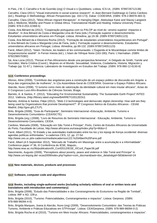In Pais, J M, C Carvalho e N de Gusmão (org) O Visual e o Quotidiano, Lisboa, ICS-UL. (ISBN: 9789726712138) Carvalho, Clara (2011) "Visual instruments in social science research". In Jean-Bernard Ouédraogo & Carlos Cardoso (ed.), Readings in Methodology: African Perspectives (pp. 163-173). Dakar: CODESRIA. (ISBN: 978-2-86978-483-3)

Carvalho, Clara (2012), "West African migrant therapeuts". In Hansjörg Dilger, Abdoulaye Kane and Stacey Langwick (eds.), Medicine, Mobility and Power in Global Africa. Transnational Health and Healing. Indiana University Press. (ISBN: 978-0-253-22368-5)

Costa, Ana Bénard da (2012), "Cooperação portuguesa com os PALOP ao nível do ¬ensino superior: impactos e desafios". In Ana Bénard da Costa e Margarida Lima de Faria (eds.) Formação superior e desenvolvimento. Estudantes universitários africanos em Portugal. Lisboa: Almedina, pp.19-38. (ISBN 9789724051123)

Costa, Ana Bénard da e Eleonora Rocha (2012), "Formação de estudantes universitários moçambicanos em Portugal". In Ana Bénard da Costa e Margarida Lima de Faria, (eds.). Formação superior e desenvolvimento. Estudantes universitários africanos em Portugal, Lisboa: Almedina, pp 89-132. (ISBN 9789724051123)

Farré, Albert (2012), "Islam: l'écriture, les leaders et les communautés. L'Ouganda et le Mozambique comme limites de l'expansionisme swahili". In Ferran Iniesta (éd.), L'Islam de l'Afrique Noire (163-180), Paris: L'Harmattan. (ISBN: 9782296570382)

Sá, Ana Lúcia (2012), "Pensar el Pan-Africanismo desde una perspectiva femenina", In Delgado de Smith, Yamile and González, María Cristina (Coord.), Mujeres en el Mundo: Sexualidad, Violencia, Ciudadanía, Historia, Migración y Trabajo (pp. 51-67.), Valencia: Laboratorio de Investigación en Estudios del Trabajo. (ISBN: 978-980-12-6130-8)

#### **9.4.5 Conference proceedings**

Afonso, Aline (2008), "Contributo das angolanas para a construção de um espaço público de discussão em Angola: a força das organizações de mulheres", In 12a Assembleia-Geral do CODESRIA: Governar o Espaço Público Africano. Alarcão, Nuno (2008), "O turismo como meio de valorização da identidade cultural em meio insular africano", Actas do X Congresso Luso-Afro-Brasileiro de Ciências Sociais, Braga.

Barreto, A. & Santos, F. (2012), "Educating For Environmental Sustainability: The Sustainable Earth Project".INTED 2012. Valência. (http://library.iated.org/view/BARRETO2012EDU)

Barreto, Antónia & Santos, Filipe (2012), "Web 2.0 technologies and democratic digital citizenship: How well are they being used by Organizations that promote Development?". 8º Congresso Ibérico de Estudos Africanos - CEIA8. Madrid, (http://goo.gl/LZ7LP).

Brito, Brígida (2008), "Guia do Participante", Seminário Internacional «Educação, Ambiente, Turismo e Desenvolvimento Comunitário» (CEA/ISCTE).

Brito, Brígida (org.) (2008), "Livro de Resumos do Seminário Internacional - Educação, Ambiente, Turismo e Desenvolvimento Comunitário, CEIDA.

Cardoso, Manuela (2008), "Educação em São Tomé e Príncipe", Porto, Centro de Estudos Africanos da Universidade do Porto, Faculdade de Letras, http://www.africanos.eu/ceaup/index.php?p=66&s=2

Farré, Albert (2011), "El Estado y las autoridades tradicionales entre los lúo y los kipsigi de Kenya occidental: diversas agendas políticas enfrentadas." e-cadernos CES, 12, pp. 27-54.

http://www.ces.uc.pt/e-cadernos/media/ecadernos12/2.%20Albert%20Farre.pdf

Farré, Albert (4-5 September 2012), "Mercado de Trabalho em Massinga: entre a acumulação e a informalidade". Conference paper nº 36, III Conferência do IESE, Maputo,.

http://www.iese.ac.mz/lib/publication/III\_Conf2012/IESE\_IIIConf\_Paper36.pdf

Nascimento, Augusto (2009), "Perceptions about poverty, peace and violence in São Tomé and Príncipe" in http://www.uni-leipzig.de/~ecas2009/index.php?option=com\_docman&task=doc\_details&gid=583&Itemid=24

#### **9.4.6 New materials, devices, products and processes**

#### **9.4.7 Software, computer code and algorithms**

#### **9.4.8 Books, including single-authored works (including scholarly editions of oral or written texts and translations with introduction and commentary)**

Brito, Brígida (2008), "Estudo das Potencialidades e dos Constrangimento do Ecoturismo na Região de Tombali", Lisboa: IMF e AD, 109 p.

Brito, Brígida (2010), "Turismo: Potencialidades, Constrangimentos e impactos". Lisboa: Gerpress. (ISBN: 978-989-96094-4-0)

Brito, Brígida Marques, Joana & Alarcão, Nuno (org) (2009), "Desenvolvimento Comunitário: das Teorias às Práticas: Turismo, Ambiente e Práticas Educativas em STPríncipe". Lisboa: CEA/Gerpress. (ISBN: 978-989-96094-0-2)

Brito, Brígida Rocha et al (2010), "Turismo em Meio Insular Africano. Potencialidades, constrangimentos e impactos".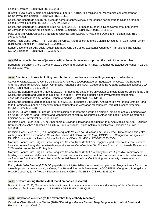Lisboa: Gerpress. (ISBN: 978-989-96094-3-3)

Bussotti, Luca, Gatti, Marzio and Nhaueleque, Laura A. (2012), "La religione nel Mozambico contemporâneo". Como-Pavia: Ibis Edizioni. (ISBN: 978-8871643694)

Costa, Ana Bénard da (2008), "O preço da sombra: sobrevivência e reprodução social entre familias de Maputo". Lisboa, Livros Horizonte. (ISBN: 978-972-24-1434-0)

Costa, Ana Bénard da & Margarida Lima de Faria (2012), "Formação Superior e Desenvolvimento: Estudantes Universitários Africanos em Portugal". Coimbra: Almedina. (ISBN: ISBN 9789724051123)

Pais, Joaquim, Clara Carvalho e Neusa de Gusmão (org) (2008), "O Visual e o Quotidiano", Lisboa, ICS. (ISBN: 9789726712138)

Perez, Rosa Maria (2011), "The Tulsi and the Cross. Anthropology and the Colonial Encounter in Goa", Delhi, Orient Blackswan; 1st edition. (ISBN: 978-8192304601)

Soriso, José and Sá, Ana Lúcia (2012), Literatura Oral de Guinea Ecuatorial: Cuentos Y Narraciones. Barcelona: CEIBA Ediciones. (ISBN: 978-84-939826-6-9)

#### **9.4.9 Edited special issues of journals, with substantial research input on the part of the researcher**

Bordonaro, Lorenzo & Clara Carvalho (2010), Youth and Modernity in Africa, Cadernos de Estudos Africanos, n 18-19. (ISSN: 2182-7400)

#### **9.4.10 Chapters in books, including contributions to conference proceedings, essays in collections**

Carvalho, Clara (2010), "O Centro de Estudos Africanos e a Cooperação em Educação", In Costa, Ana Bénard & Antónia Barreto (org.) COOPEDU - Congresso Portugal e os PALOP Cooperação na Área da Educação, Lisboa: CEA e IPL. (ISBN: 978-972-8335-20-5)

Costa, Ana Bénard e Eleonora Rocha (2012), "Formação de estudantes universitários moçambicanos em Portugal". In Costa, Ana Bénard and Margarida Lima de Faria (eds.) Formação superior e desenvolvimento: estudantes universitários africanos em Portugal. Lisbon: Almedina. (ISBN: 9789724051123)

Costa, Ana Bénard e Margarida Lima de Faria (2012), "Introdução". In Costa, Ana Bénard e Margarida Lima de Faria (eds.) Formação superior e desenvolvimento estudantes universitários africanos em Portugal. Lisbon: Almedina. (ISBN: 9789724051123)

Gargallo, Eduard (2010), "El uso de la expropiación en la reforma agraria en Namibia: situación actual y perspectivas de futuro". In Acts of Land Reforms and Management of Natural Resources in Africa and Latin America Conference. Edicions de la Universitat de Lleida. Lleida.

Heilmair, Hans-Peter (2008), "Um Olhar sobre o Devir da Literalidade do Crioulo", In O Ano Mágico de 2006 - Olhares Retrospectivos sobre a História e a Cultura Cabo-verdianas, Praia: Instituto da Biblioteca Nacional e do Livro, p. 813-838.

Heilmair, Hans-Peter (2010), "O Português enquanto Veículo da Educação em Cabo Verde - Uma polivalência entre vantagem, entrave e desafio", in Costa, Ana Bénard & Antónia Barreto (org.) COOPEDU - Congresso Portugal e os PALOP Cooperação na Área da Educação, Lisboa: CEA e IPL. (ISBN: 978-972-8335-20-5)

Marques, Joana; Brito, Brígida, Pinto, Joaquim; Alarcão, Nuno (2008), "Percepções e participação das comunidades locais em Áreas Protegidas. Análise de experiências em Cabo Verde e São Tomé e Príncipe", In Livro de Resumos do 1º Seminário sobre Áreas Protegidas

Marques, Joana; Brito, Brígida, Pinto, Joaquim; Alarcão, Nuno (2008) "Solidarity tourism. A possible framework for building up a positive relationship between tourism, community development and conservation in protected areas" Livro de Resumos Seminar on Ecotourism and Protected Areas in Africa: Contributing to community development and conservation.

Pinto, Maria João Baessa (2010), "O papel das instituições islâmicas no ensino superior em Moçambique - Estudo de caso da província de Nampula", in Costa, Ana Bénard & Antónia Barreto (org.) COOPEDU - Congresso Portugal e os PALOP Cooperação na Área da Educação, Lisboa: CEA e IPL. (ISBN: 978-972-8335-20-5)

#### **9.4.11 Creative writing (to the extent that it embodies research)**

Bussotti, Luca (2012), "As necessidades de formação dos operadores sociais em Moçambique". In A família entre desafios e dificuldades. Maputo: CIES-MENINOS DE MOÇAMBIQUE.

#### **9.4.12 Encyclopedia entries (to the extent that they embody research)**

Carvalho, Clara; Hawthorne, Walter (2010) "Dressing in Guinea Bissau", Berg Encyclopedia of World Dress and Fashion, 1 (1), pp. 300-310.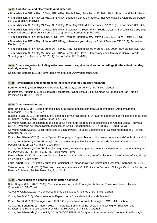#### **9.4.13 Audio/visual and electronic/digital materials**

• Film exhibition AFRIKPlay 10 May, AFRIKPlay, Fambul Tok, (Sara Terry. 82' 2011) Pedro Pombo and Paulo Granjo.

• Film exhibition AFRIKPlay 16 May, AFRIKPlay, Luanda: Fábrica da música, (Inês Gonçalves e Kiluange Liberdade. 56', 2009) Inês Gonçalves.

• Film exhibition AFRIKPlay 24 May, AFRIKPlay, Cemetery State (Filip de Boeck. 72', 2010), Ramon Sarró (ICS-IUL)

• Film exhibition AFRIKPlay 30 May, AFRIKPlay, Stocktown X South Africa (Teddy Goitom & Benjamin Taft. 29', 2011) Shooting Freetown (Kieran Hanson. 29', 2011) Lorenzo Bordonaro (CRIA-IUL)

• Film exhibition AFRIKPlay 5 June, AFRIKPlay, Town of Runners (Jerry Rothwell. 80', 2012) Nina Tiesler (ICS-UL)

• Film exhibition AFRIKPlay 11 June, AFRIKPlay, Where are you taking me? (Kimi Takesue. 72', 2012), Fernando Florêncio (UC)

• Film exhibition AFRIKPlay 20 June, AFRIKPlay, Holy Hustlers (Richard Werbner. 53', 2009), Ruy Blanes (ICS-IUL)

• Film exhibition AFRIKPlay 27 June, AFRIKPlay, Yesterday Slaves: Democracy and Ethnicity in Benin (Camilla Strandbjerg e Eric Hahonou. 29', 2011). Pedro Osório (FCSH-UNL)

#### **9.4.14 Other categories, including web-based resources; video and audio recordings (to the extent that they embody research)**

Costa, Ana Bérnard (2012). HomeSpace Maputo. http://www.homespace.dk/

#### **9.4.15 Performances and exhibitions to the extent that they embody research**

Barreto, Antónia (2012), Exposição Fotográfica "Educação em África", ISCTE-IUL, Lisboa.

Nascimento, Augusto (2012), Exposição Fotográfica: "Onde Está a Bola? Campos de Futebol em São Tomé e Príncipe". ISCTE-IUL, Lisboa.

#### **9.4.16 Other research outputs**

Brito, Brígida (2011), "Turismo em meio insular africano: análise comparativa de impactos", Ambientalmente Sustenable, 9-10, pp. 157-177.

Bussotti, Luca (2012), "Moçambique: O caso dos jornais "Notícias" e "O País" na cobertura das violações dos Direitos Humanos", Africa Media Review, 20 (2), pp. 2-76.

Carvalho, Clara "La legitimidad de la palabra: La historia de los régulos poscoloniales en Guinea Bissau", Revista CIDOB, Procesos de reconciliación posbélica en África Subsahariana, 87, 17-38. (ISSN: 2013-035X)

Carvalho, Clara (2008), "Local Authorities or Local Power?" in Local Experiences of Conflict Management, Revista Soronda, pp. 39-56.

Costa, Ana Bénard (2012), Home Space - Ethnographic Report. Maputo: http://www.homespace.dk/publications.html

Costa, Ana Bénard, (2009), "Educação escolar e estratégias familiares na periferia de Maputo", Cadernos de Pesquisa,136, pp. 13-40. (ISSN: 0100-1574)

Costa, Ana Bénard, (2009), "Emigração de quadros, formação superior e desenvolvimento: o caso de Moçambique", Pro-Posições, 20, (1) (58), pp. 27-45. (ISSN: 0103-7307)

Farré, Albert (2008), "El islam en África occidental: una larga historia y un reformismo incipinete", Nova África, 23, pp. 87-99. (ISSN: 2339-7810)

Farré, Albert (2008), "Estado y autoridad tradicional: La importancia y los límites del pluralismo", Soronda, pp. 91-112.

Teixeira, Ana L. V. M. (2010) "'Não sou mesmo uma feminista?' A Política do Corpo em O Alegre Canto da Perdiz, de Paulina Chiziane", Revista Mulemba, 2, pp. 1-12.

#### **9.4.17 Organisation of scientific dissemination activities**

Brito, Brígida (21 to 28-07-2008), "Seminário Internacional - Educação, Ambiente, Turismo e Desenvolvimento Comunitário"; São Tomé.

Carvalho, Clara (2010), "7º Congresso Ibérico de Estudos Africanos", ISCTE-IUL, Lisboa.

Costa, Ana B. (2010), "Compreender o 'Espaço do Lar' na cidade Africana de Maputo".

Costa, Ana B. (2010), "Portugal e os PALOP: Cooperação na Área da Educação", ISCTE-IUL, Lisboa.

Costa, Ana Bénard da (17 March 2011), "Theoretical Seminar of the research project Higher Education and Development: Portuguese cooperation with the PALOP", ISCTE-IUL, Portugal.

Costa, Ana Bénard da (5 and 6 July 2012), "II COOPEDU - II Congresso Internacional de Cooperação e Educação: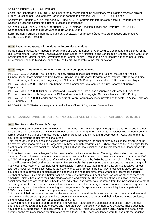África e o Mundo", ISCTE-IUL, Portugal.

Costa, Ana Bénard da (8 july 2011), "Seminar to the presentation of the preliminary results of the research project Higher Education and Development: Portuguese cooperation with the PALOP", ISCTE-IUL, Lisboa.

Nascimento, Augusto & Nuno Domingos (5-6 June 2012), "II Conferência Internacional sobre o Desporto em África, Desporto e lazer no continente africano: práticas e identidades".

Sá, Ana Lúcia & Tània Muñoz (27-29 August 2012), "Seminar "Tradition, Orality and Literature", ONG CEIBA, Departamento de Espanhol da Universidade do Ghana, Legon.

Sarró, Ramon & Julien Bonhomme (24 and 25 May 2012), « Journées d'Étude Arts prophétiques en Afrique », ISCTE-IUL, Lisboa, Portugal.

#### **9.4.18 Research contracts with national or international entities**

Home Space Maputo, Joint Research Programme of CEA, the School of Architecture, Copenhagen, the School of the Built Environment, Heriot-Watt University/Edinburgh School of Architecture and Landscape Architecture, the Centre for Development of Habitat Studies, Development of Habitat Studies, Faculdade de Arquitectura e Planeamento Físico, Universidade Eduardo Mondlane, funded by the Danish Research Council for Innovation.

#### **9.4.19 Projects funded in national and international competitive calls**

PTDC/AFR/103240/2008, The role of civil society organizations in education and training: the case of Angola, Guinea-Bissau, Mozambique and São Tomé e Príncipe, Joint Research Programme of Instituto Politécnico de Leiria (IPLeiria) Portugal, Fundação Evangelização e Culturas (FEC), Portugal, Universidade Politécnica Moçambique. PTDC/AFR/69094/2006 - The Tourism Impact in the Community Development in Africa: Analysis of Insular **Experiences** 

PTDC/AFR/099057/2008, Higher Education and Development: Portuguese cooperation with African Lusophone Countries. Joint Research Programme of CEA and Instituto de Investigação Científica Tropical - IICT, Portugal PTDC/AFR/108615/2008, Gender and therapeutic pluralism: women access to private health sector in Africa (February 2010-January 2013)

PTDC/AFR/116670/2010, Socio-spatial Stratification in Cities of Angola and Mozambique

## **9.5. ORGANISATIONAL STRUCTURE AND OBJECTIVES OF THE RESEARCH GROUP 2015/2020**

#### **9.5.1 Structure of the Research Group**

The research group Societal and Development Challenges is led by a Principal Investigator and is composed of other researchers from different scientific backgrounds, as well as a group of PhD students. It includes researchers from the former Social and Cultural Dynamics' group, another group working on India and South-eastern Asia, and is open to future collaborations in different regional areas.

This Research Group develops its activities across several geographic topics that already exist in the structure of the Centre for International Studies. It is organised in three research programs (i.e., Urbanisation and the challenges for the creation of more inclusive societies, Impact of globalization in local societies, and Development and Cooperation after the MG).

1. Urbanisation and the challenges for the creation of more inclusive societies. Recently, urbanisation has been an important focus of interest in the international research community. Indeed, population estimates show that from 2000 to 2030 urban population in Asia and Africa will double its figures and by 2030 the towns and cities of the developing world will constitute 80% of all urban humanity. Recent studies have suggested that urban populations are changing in many countries. Poverty is now increasing more rapidly in urban areas than in rural areas, but has received far less attention. However, while cities concentrate poverty, they also represent the best way to escape it. Cities are better equipped to take advantage of globalisation's opportunities and to generate employment and income for a larger number of people. Cities are in a better position to provide education and health-care - as well as other services and amenities - simply because of their advantages of scale and proximity. The demands of the population in terms of social protection and access to basic health care, education, and safety have benefited from the increasing involvement of new agents in the processes of social intervention such as civil society organisations. Another important agent is the private sector, which has offered marketing and programmes of corporate social responsibility that compete with NGOs, philanthropic foundations, and government programs.

2. Impact of globalisation as expressed in: the emergence of the middle-class and new forms of cultural and economic consumerism; the emerging popular culture; populations movement, diasporas and their influence in local societies; cultural consumption; information circulation including IT.

3. Development and cooperation programmes are two main features of the globalisation process. Today, the main efforts are turned towards a more effective and integrated ODA, particularly on non-DAC activities. These questions have been fully addressed in the High Level Fora (Rome 2003, Paris 2005 and Busan 2011) where the debate was centred on the main challenges for affirmation of the Global South. These challenges were for example the negative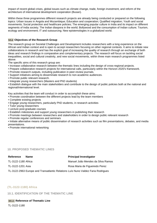impact of recent global crises, global issues such as climate change, trade, foreign investment, and reform of the architecture of international development cooperation (Busan).

Within these three programmes different research projects are already being conducted or prepared on the following topics: Urban issues in Angola and Mozambique; Education and cooperation; Qualified migration; Youth and social movements; Social protection and healthcare policies; The emerging popular culture in India and its impact on different segments of India society; The Indian diaspora in the world; Bollywood and the consumption of Indian culture; Tourism, ecology and environment; IT and outsourcing; New epistemologies in a globalized world.

#### **9.5.2 Objectives of the Research Group**

The research group on Societal Challenges and Development includes researchers with a long experience on the African and Indian context and is open to accept researchers focusing on other regional contexts. It aims to initiate new collaborations in research and has the explicit goal of increasing the quality of research through an exchange of both ideas and research findings in comparative and complementary projects. The research will focus on tackling social inequalities, social and cultural creativity, and new social movements, within three main research programmes listed above:

The specific aims of this research group are:

- Increase collaborative research between the thematic lines including the design of cross-regional projects.
- Prepare collaborative research projects for international calls, particularly within the Horizon 2020's framework.
- Promote research outputs, including publication in peer-review journals.
- Support initiatives aiming to disseminate research to non-academic audiences.
- Promote public relevant research.
- Integrate young researchers (Masters and PhD students)

• Establish dialogue with the main stakeholders and contribute to the design of public policies both at the national and regional/international level.

Key activities that the team will conduct in order to accomplish these aims:

- Promote coordination between the different projects lead by the team members
- Complete existing projects
- Engage young researchers, particularly PhD students, in research activities
- Tutor young researchers
- Lecture post-graduate courses
- Establish milestones and support young researchers in publishing their research
- Promote meetings between researchers and stakeholders in order to design public relevant research
- Promote regular conferences and seminars

• Initiate alternative means of public dissemination of research activities such as film presentations, debates, and media presentations.

• Promote international networking

#### **10. PROPOSED THEMATIC LINES**

| <b>Reference</b>    | <b>Name</b>                                                                      | <b>Principal Investigator</b>     |
|---------------------|----------------------------------------------------------------------------------|-----------------------------------|
| TL-3122-1180 Africa |                                                                                  | Manuel João Mendes da Silva Ramos |
| TL-3122-1201 Asia   |                                                                                  | Rosa Maria de Figueiredo Perez    |
|                     | TL-3122-2963 Europe and Transatlantic Relations Luís Nuno Valdez Faria Rodrigues |                                   |

#### **(TL-3122-1180) Africa**

**10.1. IDENTIFICATION OF THE THEMATIC LINE**

**10.1.1 Reference of Thematic Line** TL-3122-1180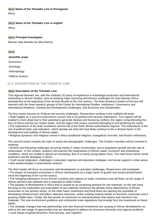**10.1.2 Name of the Thematic Line in Portuguese** África

#### **10.1.3 Name of the Thematic Line in english**

Africa

#### **10.1.4 Principal Investigator**

Manuel João Mendes da Silva Ramos

#### **10.1.5**

**Scientific areas**

Economics

Sociology

Anthropology

Political Science

#### **10.2. DESCRIPTION OF THE THEMATIC LINE**

#### **10.2.1 Description of the Thematic Line**

This regional thematic line, with the institute's 20 years of experience in knowledge-production and international networking in African Studies, aims at studying major fracturing and divisive challenges for Sub-Saharan Africa development at the beginning of the second decade of the 21st century. The three breakout clusters of this line will intersect with the three research groups of the Centre for International Studies: Institutions, Governance and International Relations, Societal and Development Challenges, and Economy and Globalization.

The first cluster focuses on Political and security challenges. Researchers working in this subfield will study: • State fragility as a source of permanent concern due to its political and security implications. Two regions will be studied in more detail due to their potential to generate divisive and fracturing conflicts: the region comprehending the horn of Africa and the two Sudan states; and the region that covers countries belonging to and bordering the Sahel.

• The implications of the Arab revolutions and the fall of the North African authoritarian regimes. The implications of the rise of political Islam and radicalism, which already are (and will most likely continue to be) a divisive factor in the development and stability of African states.

• Religious dynamics and religious revival in Africa (traditional religions, evangelical churches, and Muslim reformism).

The second cluster includes the topic of social and demographic challenges. The Centre's members will be involved in studying:

• Divisive and fracturing challenges occurring mainly in urban communities, due to population growth and the rate of urbanisation. In this context, research will examine the weaknesses of African states' economic and institutional conditions, which are unable to absorb an increasing, flow of a mainly young labour force. The main focus will be social protection and life strategies in Africa.

• Youth social integration, challenges in education regimes and education strategies, and social support in urban areas.

• New epistemologies in postcolonial contexts.

The third cluster will focus on economic and development co-operation challenges. Researchers will investigate:

• The impact of emergent economies in African development as a major factor of growth and social transformation since the beginning of the current century.

• The changing importance of non-African countries and regions on trade, investment and aid flows, as the range of African partners has widened and is expected to widen further.

• The paradox of development in Africa that is caused by an increasing demand for raw materials: on the one hand, focusing on the exploration and exportation of raw materials reinforces the already heavy dependency of African economies on the primary sector; on the other hand, investment and fiscal flows are opening the possibility of developing infrastructures and labour intensive industries, whilst creating markets based on domestic consumers and a growing middle class. Finally, the fast growth of investment on industrial plants that explore and transform raw materials. The new environment problems and continental scale regulations that emerge from the investment on these plants.

• The strategic changes that new partnerships and new financial investments are causing to African development, as well as the new range of opportunities that are developed to address its enormous domestic and regional problems. • Local impact of global dynamics, food security, and migration.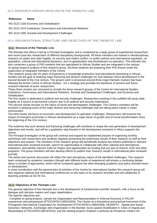#### **Reference Name**

RG-3122-1320 Economy and Globalisation

RG-3122-1474 Institutions, Governance and International Relations

RG-3122-2382 Societal and Development Challenges

#### **10.4. ORGANISATIONAL STRUCTURE AND OBJECTIVES OF THE THEMATIC LINE**

#### **10.4.1 Structure of the Thematic Line**

The thematic line Africa is led by a Principal Investigator and is composed by a large group of experienced researchers and recent post-doc researchers of different disciplinary backgrounds. All these members are trained in interdisciplinary research on states and state fragility, on security and violent conflict, on public policies and international regulation, on population, cultural and educational dynamics, and on globalization and development co-operation. This thematic line also comprises a group of PhD students that are specialised in African Studies and are integrated in the various on-going research projects of this research group. All these students are preparing their PhD theses under the supervision of integrated members of the Centre.

This research group with 20 years of experience in knowledge-production and international networking in African Studies has the goal of studying major fracturing and divisive challenges for Sub-Saharan Africa development in the second decade of the 21st century. The group's work is structured around three major thematic clusters that have followed the former Centre of African Studies - IUL's strategy and provides the backbone of present and future research interests of junior researchers.

These three clusters are conceived to include the three research groups of the Centre for International Studies: Institutions, Governance and International Relations, Societal and Development Challenges, and Economy and Globalization.

The first cluster is dedicated to political and security challenges. Researchers working in this subfield will study state fragility as a source of permanent concern due to its political and security implications.

The second cluster focuses on the topics of social and demographic challenges. The Centre's members will be involved in studying some of the major divisive and fracturing challenges that are taking place mainly in urban communities.

The third cluster will focus on economic and development co-operation challenges. Researchers will examine the impact of emergent economies in African development as a major factor of growth and of social transformation since the beginning of the 21st century.

The evidence that such divisive and fracturing challenges will contribute to shape the next generation of development objectives and results, and will be a qualitative step forward in the development scenarios in Africa supports this choice.

The Principal Investigator of the group will continue and expand an established practice of organising monthly workshops with researchers and students regularly presenting the preliminary results of their research as well as their objectives and outputs. The members of the research group will periodically analyse key articles published in relevant international peer-reviewed journals, search for opportunities to collaborate with other national and international institutions, and identify relevant Calls for Papers and opportunities for funding that are part of Horizon 2020 and other programs. The group members will also develop efforts to publish their research results in international peer-reviewed journals.

The article and seminar discussion will reflect the inter-disciplinary nature of the identified challenges. The research team composed by academic members (though with different levels of experience) will ensure a continuing debate about a number of approaches, which will be compared against the often-diverging academic and policy-oriented views on development.

In close coordination with the general plan of activities of the Centre for International Studies this research group will also organise national and international conferences on the topics of its research activities and will collaborate in teaching activities at ISCTE-IUL.

#### **10.4.2 Objectives of the Thematic Line**

The general objective of this thematic line is the development of fundamental scientific research, with a focus on the dialogue with decision makers and major stakeholders.

The specific objectives are:

. Complete on going projects, namely the Organization and Representation in Informal Economy in PALOP: experiences and perspectives (PTDC/AFR/113992/2009); The Cluster as a theoretical and practical instrument of the Portuguese International Cooperation for Development (PTDC/AFR/111680/2009); DESERTO - Spatial and Social Dynamics: Networks, Exchanges and Organisation in the Namibe; Socio-spatial Stratification in Cities of Angola and Mozambique (PTDC/AFR/116670/2010); and the starting projects Análises Lusófonas de Pluralismo médico em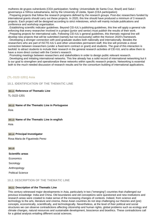mulheres de grupos vulneráveis (CEA participation; funding: Universidade de Santa Cruz, Brazil) and Salut i governança a l'Àfrica subsahariana, led by the University of Lleida, Spain (CEA participation)

. Preparing projects that follow the research programs defined by the research groups. Post-doc researchers funded by international grants should carry out these projects. In 2020, this line should have produced a minimum of 3 research projects. Each project will be designed according to strict milestones, which will mainly include publications and conference and workshop organisation.

. Establishing scientific indicator guidelines. Beyond CEI-IUL's publishing guidelines, this line will apply a general rule enforcing that every researcher involved in a project (junior and senior) must publish the results of their work. . Preparing projects for international calls. Following CEI-IUL's general guidelines, this thematic regional line will

develop new projects that will be submitted (namely but not exclusively) within the Horizon 2020's framework. . Developing a stronger connection with post-graduate studies both nationally and internationally. Besides the researchers who are part of ISCTE-IUL's and other universities permanent staff, this line will promote a closer connection between researchers (under a fixed-term contract or grant) and students. The goal of this interaction is twofold: to attract students to include their research in the general research activities of CEI-IUL and to allow them to have a more direct contact with the Centre's research.

. Promoting meetings between researchers and stakeholders in order to design public relevant research. . Developing and initiating international networks. This line already has a solid record of international networking but it is our goal to strengthen and operationalize these networks within specific research projects. Networking is essential both to the much needed discussion of research results and for the consortium building of international applications.

## **(TL-3122-1201) Asia**

**10.1. IDENTIFICATION OF THE THEMATIC LINE**

**10.1.1 Reference of Thematic Line**

TL-3122-1201

**10.1.2 Name of the Thematic Line in Portuguese**

Ásia

#### **10.1.3 Name of the Thematic Line in english**

Asia

#### **10.1.4 Principal Investigator**

Rosa Maria de Figueiredo Perez

#### **10.1.5**

**Scientific areas** Economics Sociology Anthropology Political Science

#### **10.2. DESCRIPTION OF THE THEMATIC LINE**

#### **10.2.1 Description of the Thematic Line**

This century witnessed major developments in Asia, particularly in two ("emerging") countries that challenged our previous knowledge: India and China. Old boundaries and old conceptions were questioned and new institutions and research areas were created to make sense of the increasing changes of contexts. Indeed, from science and technology to the arts, literature and cinema, these Asian countries do not stop challenging our theories and (pre) concepts, economically, scientifically, and technologically. Nevertheless, at the level of their political and social structures we can observe contradictions affecting citizenship and human rights, global problems such as ecology and climate changes, natural resources and sustainable development, bioscience and bioethics. These contradictions call for a global analysis entailing different social sciences.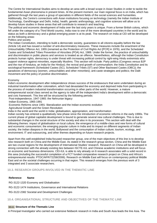The Centre for International Studies aims to develop an area with a broad scope in Asian Studies in order to tackle the fundamental Asian phenomena in present times. At the present moment, our main regional focus is on India, which has gathered through the last years a group of specialists in different fields of the social sciences and humanities. Additionally, the Centre's connections with Asian institutions focusing on technology (namely the Indian Institute of Technology, Gandhinagar and Delhi, India), health, genetic anthropology, and cognitive sciences will allow us to develop future studies in these areas that will contribute to research and teaching.

The political and economic development of India over the last sixty years is unique. From a former British colony, which fell under the category of a Third World country, India rose to one of the more developed countries in the world and its status as both a democracy and a global emerging power is at its peak. The research on India at CEI will be developed on the following areas:

#### Politics and society

The Indian Constitution, intending to build a democratic society, guarantees to all citizens equality before the law (Article 14) and has issued a number of anti-discriminatory measures. These measures include the enactment of the Untouchability Offence Act, 1955 (renamed as the Protection of Civil Rights Act [PCR] in 1976), and the Scheduled Castes and Scheduled Tribes Prevention of Atrocities (POA) Act, 1989. Under the former, the practice of untouchability and discrimination in public places and services is treated as an offence. Nevertheless, although the Indian Constitution protects human rights, democracy is under threat with increasing political control by right-wing Hindu extremists who support violence against minorities, especially Muslims. This section will include: Party politics (Congress versus BJP and the rise of hindutva, an India for the Hindus); the revival and growth of communalism; the India Constitution and its sociological framework (Scheduled Castes (SC), Scheduled Tribes (ST) and Other Backward Castes (OBC)); the paradoxes of democracy (women, untouchables and other minorities); anti-caste strategies and politics; the Dalit movement and the policy of positive discrimination.

#### Economy

India's economic development after independence shows success of the endeavours that were undertaken during an industrial transformation after colonialism, which had devastated the economy and deprived India from participating in the process of modern industrial transformation occurring in other parts of the world. However, a mature entrepreneurial social class served as the agency to take off the independent India's development within a democratic and civic framework. This line will be structured by the following periods:

Post-independence, 1947-1965: the Nehruvian legacy

Indian Economy, 1965-1991

Economic Reforms since 1991: liberalization and the Indian economic evolution

Agricultural Growth and the Green Revolution

India in the world and the world in India: globalisation, appropriation, and transformation

Indian society has entered a qualitatively new phase since the introduction of economic reforms in the early 1990s. The current phase of global capitalist development is bound to generate several new cultural challenges. This is due to substantial changes in the social structure of the society and also in its processes. This section with deal with the following themes: impact of globalisation on local culture; the emergence of a middle-class and new forms of cultural and economic consumerism; the emerging popular culture in India and its impact on different segments of Indian society; the Indian diaspora in the world; Bollywood and the consumption of Indian culture; tourism, ecology, and environment; IT and outsourcing, and other themes depending on future research projects.

Apart from this well-established India-focused researcher group, one of the main objectives of this line is to develop new research both on China and the Middle East. As stated in the research group section, China and the Middle East are two crucial regions for the development of International Studies' research. Research on China will be developed in strong connection with the already existing ties between ISCTE-IUL and Chinese academic institutions and will focus on economic and business dimensions. CEI-IUL is able to rely already on 6 research associates with a solid record in this area (including the successful completion of a FCT funded comparative research project on China and Africa's entrepreneurial results: PTDC/AFR/72258/2006). Research on Middle East will focus on contemporary political Middle East and on the societal challenges occurring in that region. This research emerges from the previous work of 3 integrated and 3 associate researchers.

## **10.3. RESEARCH GROUPS INVOLVED IN THE THEMATIC LINE**

#### **Reference Name**

RG-3122-1320 Economy and Globalisation

RG-3122-1474 Institutions, Governance and International Relations

RG-3122-2382 Societal and Development Challenges

#### **10.4. ORGANISATIONAL STRUCTURE AND OBJECTIVES OF THE THEMATIC LINE**

#### **10.4.1 Structure of the Thematic Line**

A Principal Investigator who carried out extensive fieldwork research in India and South Asia leads the line Asia. The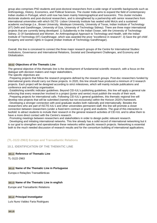group also comprises PhD students and post-doctoral researchers from a wide range of scientific backgrounds such as Anthropology, History, Economics, and Political Sciences. The cluster India aims to expand the field of contemporary Indian studies in Portugal, which until now has been mainly historiographical and lusocentric. This cluster includes doctorate students and post-doctoral researchers, and is strengthened by a partnership with senior researchers from international universities with which ISCTE- Lisbon University Institute has sealed solid MoUs and a sustained academic exchange (i.e., Brown University, Wesleyan University, University of Texas, Indian Institute of Technology (IIT) Delhi and Gandhinagar, University of Goa, University of Technology Sidney). There are three major international projects that are currently being developed: 1) Subalternity in the Indian Ocean, with the University of Technology Sidney; 2) Of Sandalwood and Women. An Anthropological Approach to Technology and Health, with the Indian Institute of Technology (IIT) Gandhinagar, which was awarded the prize "excellence in research"; 3) Save the girl child'. Exogamy and women rights in Gujarat (Indian Institute of Technology Gandhinagar).

Overall, this line is conceived to connect the three major research groups of the Centre for International Studies: Institutions, Governance and International Relations, Societal and Development Challenges, and Economy and Globalization.

#### **10.4.2 Objectives of the Thematic Line**

The general objective of this thematic line is the development of fundamental scientific research, with a focus on the dialogue with decision makers and major stakeholders.

The specific objectives are:

. Preparing projects that follow the research programs defined by the research groups. Post-doc researchers funded by international grants should carry out these projects. In 2020, this line should have produced a minimum of 3 research projects. Each project will be designed according to strict milestones, which will mainly include publications and conference and workshop organisation.

. Establishing scientific indicator guidelines. Beyond CEI-IUL's publishing guidelines, this line will apply a general rule enforcing that every researcher involved in a project (junior and senior) must publish the results of their work. . Preparing projects for international calls. Following CEI-IUL's general guidelines, this thematic regional line will develop new projects that will be submitted (namely but not exclusively) within the Horizon 2020's framework. . Developing a stronger connection with post-graduate studies both nationally and internationally. Besides the researchers who are part of ISCTE-IUL's and other universities permanent staff, this line will promote a closer

connection between researchers (under a fixed-term contract or grant) and students. The goal of this interaction is twofold: to attract students to include their research in the general research activities of CEI-IUL and to allow them to have a more direct contact with the Centre's research.

. Promoting meetings between researchers and stakeholders in order to design public relevant research.

. Developing and initiating international networks. This line already has a solid record of international networking but it is our goal to strengthen and operationalize these networks within specific research projects. Networking is essential both to the much needed discussion of research results and for the consortium building of international applications.

#### **(TL-3122-2963) Europe and Transatlantic Relations**

#### **10.1. IDENTIFICATION OF THE THEMATIC LINE**

#### **10.1.1 Reference of Thematic Line**

TL-3122-2963

## **10.1.2 Name of the Thematic Line in Portuguese**

Europa e Relações Transatlânticas

## **10.1.3 Name of the Thematic Line in english**

Europe and Transatlantic Relations

## **10.1.4 Principal Investigator**

Luís Nuno Valdez Faria Rodrigues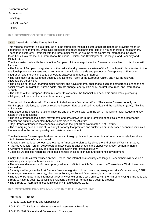**Economics** 

Sociology

Political Science

**History** 

#### **10.2. DESCRIPTION OF THE THEMATIC LINE**

## **10.2.1 Description of the Thematic Line**

This regional thematic line is structured around four major thematic clusters that are based on previous research experience of its members, whilst also projecting the future research interests of a younger group of researchers. These four clusters will intersect with the three major research groups of the Centre for International Studies: Institutions, Governance and International Relations, Societal and Development Challenges, and Economy and Globalization.

The first cluster deals with the role of the European Union as a global actor. Researchers involved in this cluster will focus on:

• The future of European integration and the political and governance system of the EU, with particular attention to the relationship between citizens and governments, the attitude towards and perceptions/acceptance of European integration, and the challenges to democratic practices and parties in Europe.

• The legitimacy of the Common Security and Defence Policy of the European Union, and how the relevant stakeholders perceive it.

• The policies of the EU regarding major societal and developmental challenges, such as demographic changes and social welfare, immigration, human rights, climate change, energy efficiency, natural resources, and international security.

• The efforts of the European Union in in order to overcome the financial and economic crisis whilst promoting intelligent, inclusive, and sustainable economic growth.

The second cluster deals with Transatlantic Relations in a Globalized World. This cluster focuses not only on US-European relations, but also on relations between Europe and Latin America and the Caribbean (LAC). This line will analyse:

• The state of transatlantic relations since the end of the Cold War, with the aim of identifying major issues and key actors in those relations;

• The role of transnational social movements and civic networks in the promotion of political change, knowledge transfer and cultural encounters between both sides of the Atlantic;

• Major trends of transatlantic economic relations in the globalized world of the 21st Century;

• The "emerging action fields" of Solidarity Economy that promote and sustain community-based economic initiatives that respond to the current paradigmatic crisis in development.

The third cluster focuses specifically on American foreign policy and on United States' international relations since 1945. Researchers of this cluster will:

- Identify major policies, periods, and events in American foreign policy since the end of World War II until today;
- Analyse American foreign policy regarding key societal challenges in the global world, such as human rights,
- environment, global warming, and as a global player in international security;

• Examine US policies regarding the global financial crisis, foreign aid, and economic development.

Finally, the fourth cluster focuses on War, Peace, and international security challenges. Researchers will develop a multidisciplinary approach to issues such as:

• The relevant dimensions of contemporary military conflicts in which Europe and the Transatlantic World have been involved in;

• Security challenges in the 21st Century (mass immigration, global commons, energy security, Cyber warfare, CBRN Defence, environmental security, disaster-resilience, fragile and failed states, lack of resources);

• The role of Portugal in the international security context of the 21st Century, with the aim of analysing challenges and threats to national security, as well as evaluating the role of Portugal as a security producer;

• The threats to international economic security in a globalised world.

## **10.3. RESEARCH GROUPS INVOLVED IN THE THEMATIC LINE**

## **Reference Name**

RG-3122-1320 Economy and Globalisation

RG-3122-1474 Institutions, Governance and International Relations

RG-3122-2382 Societal and Development Challenges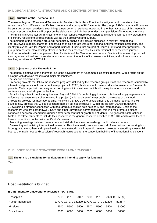#### **10.4.1 Structure of the Thematic Line**

The research group "Europe and Transatlantic Relations" is led by a Principal Investigator and comprises other researchers from different scientific backgrounds and a group of PhD students. The group of PhD students will certainly be enlarged as each academic year brings a new cohort of students interested in the thematic areas of this research group. A strong emphasis will be put on the elaboration of PhD theses under the supervision of integrated members. The Principal Investigator will maintain monthly workshops, where researchers and students will regularly present the preliminary results of their research as well as their objectives and outputs.

The members of the research group will periodically analyse key articles published in relevant international peer-reviewed journals, search for opportunities to collaborate with other national and international institutions, and identify relevant Calls for Papers and opportunities for funding that are part of Horizon 2020 and other programs. The group members will also develop efforts to publish their research results in international peer-reviewed journals. In close coordination with the general plan of activities of the Centre for International Studies, this research group will also organise national and international conferences on the topics of its research activities, and will collaborate in teaching activities at ISCTE-IUL.

#### **10.4.2 Objectives of the Thematic Line**

The general objective of this thematic line is the development of fundamental scientific research, with a focus on the dialogue with decision makers and major stakeholders.

The specific objectives are:

. Preparing projects that follow the research programs defined by the research groups. Post-doc researchers funded by international grants should carry out these projects. In 2020, this line should have produced a minimum of 3 research projects. Each project will be designed according to strict milestones, which will mainly include publications and conference and workshop organisation.

. Establishing scientific indicator guidelines. Beyond CEI-IUL's publishing guidelines, this line will apply a general rule enforcing that every researcher involved in a project (junior and senior) must publish the results of their work. . Preparing projects for international calls. Following CEI-IUL's general guidelines, this thematic regional line will develop new projects that will be submitted (namely but not exclusively) within the Horizon 2020's framework. . Developing a stronger connection with post-graduate studies both nationally and internationally. Besides the researchers who are part of ISCTE-IUL's and other universities permanent staff, this line will promote a closer connection between researchers (under a fixed-term contract or grant) and students. The goal of this interaction is twofold: to attract students to include their research in the general research activities of CEI-IUL and to allow them to have a more direct contact with the Centre's research.

. Promoting meetings between researchers and stakeholders in order to design public relevant research.

. Developing and initiating international networks. This line already has a solid record of international networking but it is our goal to strengthen and operationalize these networks within specific research projects. Networking is essential both to the much needed discussion of research results and for the consortium building of international applications.

#### **11. BUDGET FOR THE STRATEGIC PROGRAMME 2015/2020**

#### **11.1 The unit is a candidate for evaluation and intend to apply for funding?**

Yes

**11.2**

#### **Host institution's budget**

#### **ISCTE - Instituto Universitário de Lisboa (ISCTE-IUL)**

| Description     |      |      |      |      |      |                                           | 2015 2016 2017 2018 2019 2020 TOTAL (€) |
|-----------------|------|------|------|------|------|-------------------------------------------|-----------------------------------------|
| Human Resources |      |      |      |      |      | 137279 137279 137279 137279 137279 137279 | 823674                                  |
| Missions        | 5500 | 5500 | 5500 | 5500 | 5500 | 5500                                      | 33000                                   |
| Consultants     | 6000 | 6000 | 6000 | 6000 | 6000 | 6000                                      | 36000                                   |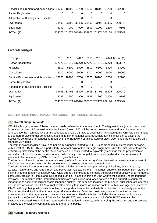| Service Procurement and Acquisitions 18700 18700 18700 18700 |                                           |     |          |      | 18700                               | 18700    | 112200  |
|--------------------------------------------------------------|-------------------------------------------|-----|----------|------|-------------------------------------|----------|---------|
| <b>Patent Registration</b>                                   | O                                         |     |          |      |                                     |          | 0       |
| Adaptation of Buildings and Facilities                       | 0                                         | 0   | $\Omega$ | 0    | 0                                   | $\Omega$ | 0       |
| Overheads                                                    |                                           |     |          |      | 33495 33495 33495 33495 33495 33495 |          | 200970  |
| Equipment                                                    | 3099                                      | 900 | 900      | 1899 | 1200                                | 1200     | 9198    |
| TOTAL $(\epsilon)$                                           | 204073 201874 201874 202873 202174 202174 |     |          |      |                                     |          | 1215042 |

## **Overall budget**

| Description                                | 2015  | 2016  | 2017  | 2018  | 2019                                      |          | 2020 TOTAL $(\epsilon)$ |
|--------------------------------------------|-------|-------|-------|-------|-------------------------------------------|----------|-------------------------|
| Human Resources                            |       |       |       |       | 137279 137279 137279 137279 137279 137279 |          | 823674                  |
| <b>Missions</b>                            | 5500  | 5500  | 5500  | 5500  | 5500                                      | 5500     | 33000                   |
| Consultants                                | 6000  | 6000  | 6000  | 6000  | 6000                                      | 6000     | 36000                   |
| Service Procurement and Acquisitions 18700 |       | 18700 | 18700 | 18700 | 18700                                     | 18700    | 112200                  |
| <b>Patent Registration</b>                 | 0     | 0     | 0     | 0     | 0                                         | 0        | 0                       |
| Adaptation of Buildings and Facilities     | 0     | 0     | 0     | 0     | 0                                         | $\Omega$ | 0                       |
| Overheads                                  | 33495 | 33495 | 33495 | 33495 | 33495                                     | 33495    | 200970                  |
| Equipment                                  | 3099  | 900   | 900   | 1899  | 1200                                      | 1200     | 9198                    |
| TOTAL $(\epsilon)$                         |       |       |       |       | 204073 201874 201874 202873 202174 202174 |          | 1215042                 |

## **12. STRATEGIC PROGRAMME AND BUDGET RATIONALE 2015/2020**

#### **12.1 Overall budget rationale**

CEI-IUL's budget proposal follows the main goals defined for this research unit. The biggest share (human resources) is detailed in point 12.2, as well as the equipment (point 12.3). All the items, however, can and must be seen as a whole, since the main objective of this budget is to enable CEI-IUL to accomplish its stated goals. CEI-IUL is committed to get more projects under competitive national and international calls; notwithstanding it is our aim to assure the necessary conditions for conducting research in the framework of this strategic project. Overheads are calculated on a standard 20% basis.

The item missions includes travel and per-diem expenses related to CEI-IUL's participation in international networks, with a total of € 15000. This is a particularly important point of this strategic programme since the aim is to enlarge the networking dimension of the centre. Also estimated are costs related to exploratory meetings for the preparation of consortiums for applications for international calls. Finally, this budget item includes fieldwork in the framework of projects to be developed by CEI-IUL post-doc grant holders.

The item consultants includes the annual meeting of the External Advisory Committee with an average annual cost of €4000, as well as consultants for the development of projects under each thematic line.

The item Service Procurement and Acquisitions includes: conference organisation, publications, editing support, website maintenance and refreshment and books&journals acquisitons. The largest share of this budget item relates to editing, in a total amount of €37800. CIE-IUL is strongly committed to increase the scientific productivity of its members, particularly articles in Scopus and ISI indexed journals. To achieve this goal, the Centre will support English language revisions. The majority of the integrated members are not English languages natives and this support is of upmost importance to assure the indispensable language quality. This item also includes the bi-annual publication of Cadernos de Estudos Africanos, CEI-IUL's journal devoted mainly to research on African context, with an average annual cost of €4400. Although being fully available online, it is important to maintain a (limited) print edition: it is already part of the Centre brand and it is friendlier to our target African audience. Other two cost categories includes the website maintenance and the organisation of an annual conference. Finally, this item includes the acquisition of books and journals for the Central Library of African Studies (BCEA), with a total amount of €30000. BCEA needs to be sustainably updated, expanded and integrated in international networks, both regarding the collection and the services provided to the scientific community and to the general public.